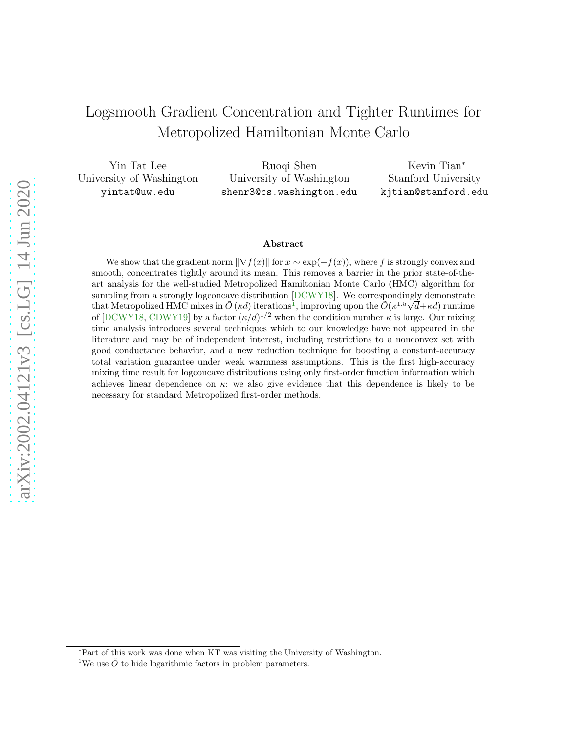# <span id="page-0-1"></span>Logsmooth Gradient Concentration and Tighter Runtimes for Metropolized Hamiltonian Monte Carlo

Yin Tat Lee University of Washington yintat@uw.edu Ruoqi Shen University of Washington shenr3@cs.washington.edu Kevin Tian<sup>∗</sup> Stanford University kjtian@stanford.edu

#### Abstract

We show that the gradient norm  $\|\nabla f(x)\|$  for  $x \sim \exp(-f(x))$ , where f is strongly convex and smooth, concentrates tightly around its mean. This removes a barrier in the prior state-of-theart analysis for the well-studied Metropolized Hamiltonian Monte Carlo (HMC) algorithm for sampling from a strongly logconcave distribution [\[DCWY18\]](#page-15-0). We correspondingly demonstrate that Metropolized HMC mixes in  $\tilde{O}(\kappa d)$  iterations<sup>[1](#page-0-0)</sup>, improving upon the  $\tilde{O}(\kappa^{1.5}\sqrt{d}+\kappa d)$  runtime of [\[DCWY18,](#page-15-0) [CDWY19\]](#page-14-0) by a factor  $(\kappa/d)^{1/2}$  when the condition number  $\kappa$  is large. Our mixing time analysis introduces several techniques which to our knowledge have not appeared in the literature and may be of independent interest, including restrictions to a nonconvex set with good conductance behavior, and a new reduction technique for boosting a constant-accuracy total variation guarantee under weak warmness assumptions. This is the first high-accuracy mixing time result for logconcave distributions using only first-order function information which achieves linear dependence on  $\kappa$ ; we also give evidence that this dependence is likely to be necessary for standard Metropolized first-order methods.

<sup>∗</sup>Part of this work was done when KT was visiting the University of Washington.

<span id="page-0-0"></span><sup>&</sup>lt;sup>1</sup>We use  $\tilde{O}$  to hide logarithmic factors in problem parameters.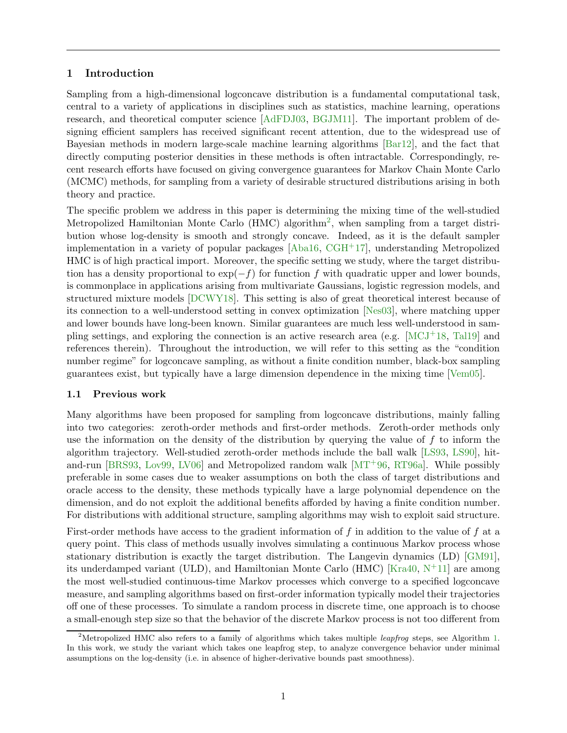# <span id="page-1-1"></span>1 Introduction

Sampling from a high-dimensional logconcave distribution is a fundamental computational task, central to a variety of applications in disciplines such as statistics, machine learning, operations research, and theoretical computer science [\[AdFDJ03,](#page-14-1) [BGJM11\]](#page-14-2). The important problem of designing efficient samplers has received significant recent attention, due to the widespread use of Bayesian methods in modern large-scale machine learning algorithms [\[Bar12\]](#page-14-3), and the fact that directly computing posterior densities in these methods is often intractable. Correspondingly, recent research efforts have focused on giving convergence guarantees for Markov Chain Monte Carlo (MCMC) methods, for sampling from a variety of desirable structured distributions arising in both theory and practice.

The specific problem we address in this paper is determining the mixing time of the well-studied Metropolized Hamiltonian Monte Carlo (HMC) algorithm<sup>[2](#page-1-0)</sup>, when sampling from a target distribution whose log-density is smooth and strongly concave. Indeed, as it is the default sampler implementation in a variety of popular packages  $[Aba16, CGH<sup>+</sup>17]$  $[Aba16, CGH<sup>+</sup>17]$  $[Aba16, CGH<sup>+</sup>17]$ , understanding Metropolized HMC is of high practical import. Moreover, the specific setting we study, where the target distribution has a density proportional to  $\exp(-f)$  for function f with quadratic upper and lower bounds, is commonplace in applications arising from multivariate Gaussians, logistic regression models, and structured mixture models [\[DCWY18\]](#page-15-0). This setting is also of great theoretical interest because of its connection to a well-understood setting in convex optimization [\[Nes03\]](#page-16-0), where matching upper and lower bounds have long-been known. Similar guarantees are much less well-understood in sampling settings, and exploring the connection is an active research area (e.g.  $[MCI<sup>+</sup>18, Tal19]$  $[MCI<sup>+</sup>18, Tal19]$  and references therein). Throughout the introduction, we will refer to this setting as the "condition number regime" for logconcave sampling, as without a finite condition number, black-box sampling guarantees exist, but typically have a large dimension dependence in the mixing time [\[Vem05\]](#page-16-3).

# <span id="page-1-2"></span>1.1 Previous work

Many algorithms have been proposed for sampling from logconcave distributions, mainly falling into two categories: zeroth-order methods and first-order methods. Zeroth-order methods only use the information on the density of the distribution by querying the value of f to inform the algorithm trajectory. Well-studied zeroth-order methods include the ball walk [\[LS93,](#page-16-4) [LS90\]](#page-15-1), hitand-run [\[BRS93,](#page-14-6) [Lov99,](#page-15-2) [LV06\]](#page-16-5) and Metropolized random walk [\[MT](#page-16-6)+96, [RT96a\]](#page-16-7). While possibly preferable in some cases due to weaker assumptions on both the class of target distributions and oracle access to the density, these methods typically have a large polynomial dependence on the dimension, and do not exploit the additional benefits afforded by having a finite condition number. For distributions with additional structure, sampling algorithms may wish to exploit said structure.

First-order methods have access to the gradient information of f in addition to the value of f at a query point. This class of methods usually involves simulating a continuous Markov process whose stationary distribution is exactly the target distribution. The Langevin dynamics (LD) [\[GM91\]](#page-15-3), its underdamped variant (ULD), and Hamiltonian Monte Carlo (HMC) [\[Kra40,](#page-15-4)  $N^+11$ ] are among the most well-studied continuous-time Markov processes which converge to a specified logconcave measure, and sampling algorithms based on first-order information typically model their trajectories off one of these processes. To simulate a random process in discrete time, one approach is to choose a small-enough step size so that the behavior of the discrete Markov process is not too different from

<span id="page-1-0"></span><sup>&</sup>lt;sup>2</sup>Metropolized HMC also refers to a family of algorithms which takes multiple *leapfroq* steps, see Algorithm [1.](#page-7-0) In this work, we study the variant which takes one leapfrog step, to analyze convergence behavior under minimal assumptions on the log-density (i.e. in absence of higher-derivative bounds past smoothness).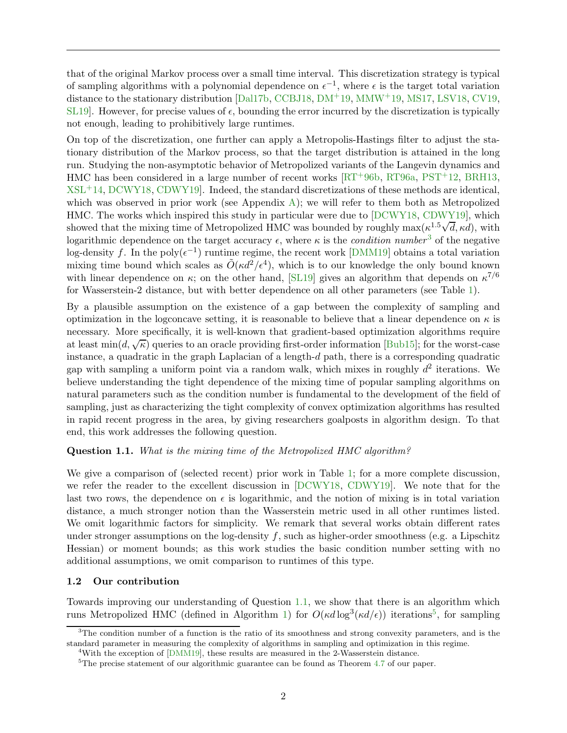that of the original Markov process over a small time interval. This discretization strategy is typical of sampling algorithms with a polynomial dependence on  $\epsilon^{-1}$ , where  $\epsilon$  is the target total variation distance to the stationary distribution [\[Dal17b,](#page-15-5) [CCBJ18,](#page-14-7) [DM](#page-15-6)+19, [MMW](#page-16-9)+19, [MS17,](#page-16-10) [LSV18,](#page-16-11) [CV19,](#page-15-7) [SL19\]](#page-16-12). However, for precise values of  $\epsilon$ , bounding the error incurred by the discretization is typically not enough, leading to prohibitively large runtimes.

On top of the discretization, one further can apply a Metropolis-Hastings filter to adjust the stationary distribution of the Markov process, so that the target distribution is attained in the long run. Studying the non-asymptotic behavior of Metropolized variants of the Langevin dynamics and HMC has been considered in a large number of recent works  $\left[\text{RT}^+96\text{b}, \text{RT}96\text{a}, \text{PST}^+12, \text{BRH}13, \text{PST}^+12\right]$  $\left[\text{RT}^+96\text{b}, \text{RT}96\text{a}, \text{PST}^+12, \text{BRH}13, \text{PST}^+12\right]$  $\left[\text{RT}^+96\text{b}, \text{RT}96\text{a}, \text{PST}^+12, \text{BRH}13, \text{PST}^+12\right]$  $XSL<sup>+</sup>14$  $XSL<sup>+</sup>14$ , [DCWY18,](#page-15-0) CDWY19. Indeed, the standard discretizations of these methods are identical, which was observed in prior work (see Appendix [A\)](#page-18-0); we will refer to them both as Metropolized HMC. The works which inspired this study in particular were due to [\[DCWY18,](#page-15-0) [CDWY19\]](#page-14-0), which showed that the mixing time of Metropolized HMC was bounded by roughly  $\max(\kappa^{1.5}\sqrt{d}, \kappa d)$ , with logarithmic dependence on the target accuracy  $\epsilon$ , where  $\kappa$  is the *condition number*<sup>[3](#page-2-0)</sup> of the negative log-density f. In the poly $(\epsilon^{-1})$  runtime regime, the recent work [\[DMM19\]](#page-15-8) obtains a total variation mixing time bound which scales as  $\tilde{O}(\kappa d^2/\epsilon^4)$ , which is to our knowledge the only bound known with linear dependence on  $\kappa$ ; on the other hand, [\[SL19\]](#page-16-12) gives an algorithm that depends on  $\kappa^{7/6}$ for Wasserstein-2 distance, but with better dependence on all other parameters (see Table [1\)](#page-3-0).

By a plausible assumption on the existence of a gap between the complexity of sampling and optimization in the logconcave setting, it is reasonable to believe that a linear dependence on  $\kappa$  is necessary. More specifically, it is well-known that gradient-based optimization algorithms require at least  $\min(d, \sqrt{\kappa})$  queries to an oracle providing first-order information [\[Bub15\]](#page-14-9); for the worst-case instance, a quadratic in the graph Laplacian of a length-d path, there is a corresponding quadratic gap with sampling a uniform point via a random walk, which mixes in roughly  $d^2$  iterations. We believe understanding the tight dependence of the mixing time of popular sampling algorithms on natural parameters such as the condition number is fundamental to the development of the field of sampling, just as characterizing the tight complexity of convex optimization algorithms has resulted in rapid recent progress in the area, by giving researchers goalposts in algorithm design. To that end, this work addresses the following question.

#### <span id="page-2-1"></span>Question 1.1. What is the mixing time of the Metropolized HMC algorithm?

We give a comparison of (selected recent) prior work in Table [1;](#page-3-0) for a more complete discussion, we refer the reader to the excellent discussion in [\[DCWY18,](#page-15-0) [CDWY19\]](#page-14-0). We note that for the last two rows, the dependence on  $\epsilon$  is logarithmic, and the notion of mixing is in total variation distance, a much stronger notion than the Wasserstein metric used in all other runtimes listed. We omit logarithmic factors for simplicity. We remark that several works obtain different rates under stronger assumptions on the log-density  $f$ , such as higher-order smoothness (e.g. a Lipschitz Hessian) or moment bounds; as this work studies the basic condition number setting with no additional assumptions, we omit comparison to runtimes of this type.

#### <span id="page-2-4"></span>1.2 Our contribution

Towards improving our understanding of Question [1.1,](#page-2-1) we show that there is an algorithm which runs Metropolized HMC (defined in Algorithm [1\)](#page-7-0) for  $O(\kappa d \log^3(\kappa d/\epsilon))$  iterations<sup>[5](#page-2-2)</sup>, for sampling

 $3$ The condition number of a function is the ratio of its smoothness and strong convexity parameters, and is the standard parameter in measuring the complexity of algorithms in sampling and optimization in this regime.

<span id="page-2-3"></span><span id="page-2-0"></span><sup>&</sup>lt;sup>4</sup>With the exception of [\[DMM19\]](#page-15-8), these results are measured in the 2-Wasserstein distance.

<span id="page-2-2"></span><sup>5</sup>The precise statement of our algorithmic guarantee can be found as Theorem [4.7](#page-12-0) of our paper.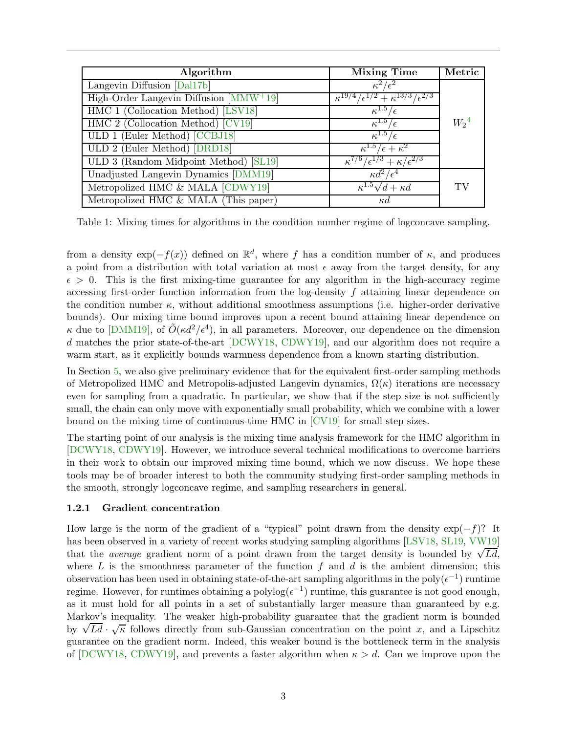<span id="page-3-0"></span>

| Algorithm                                 | <b>Mixing Time</b>                                    | Metric    |
|-------------------------------------------|-------------------------------------------------------|-----------|
| Langevin Diffusion [Dal17b]               | $\kappa^{\prime}$                                     |           |
| High-Order Langevin Diffusion $[MMW^+19]$ | $+ \kappa^{13/3}$<br>$\kappa^{19/4}/\epsilon^{1/2}$   |           |
| HMC 1 (Collocation Method) [LSV18]        | $\kappa$                                              |           |
| HMC 2 (Collocation Method) [CV19]         | $\kappa^{1.5}$                                        | $W_2{}^4$ |
| ULD 1 (Euler Method) [CCBJ18]             | $\kappa^{1.5}$                                        |           |
| ULD 2 (Euler Method) [DRD18]              | $\kappa^{1.5}/\epsilon + \kappa^2$                    |           |
| ULD 3 (Random Midpoint Method) [SL19]     | $\kappa^{1/6}/\epsilon^{1/3} + \kappa/\epsilon^{2/3}$ |           |
| Unadjusted Langevin Dynamics [DMM19]      | $\kappa d^2$                                          |           |
| Metropolized HMC & MALA [CDWY19]          | $\kappa^{1.5}\sqrt{d}+\kappa d$                       | TV        |
| Metropolized HMC & MALA (This paper)      | $\kappa d$                                            |           |

Table 1: Mixing times for algorithms in the condition number regime of logconcave sampling.

from a density  $\exp(-f(x))$  defined on  $\mathbb{R}^d$ , where f has a condition number of  $\kappa$ , and produces a point from a distribution with total variation at most  $\epsilon$  away from the target density, for any  $\epsilon > 0$ . This is the first mixing-time guarantee for any algorithm in the high-accuracy regime accessing first-order function information from the log-density f attaining linear dependence on the condition number  $\kappa$ , without additional smoothness assumptions (i.e. higher-order derivative bounds). Our mixing time bound improves upon a recent bound attaining linear dependence on κ due to [\[DMM19\]](#page-15-8), of  $\tilde{O}(\kappa d^2/\epsilon^4)$ , in all parameters. Moreover, our dependence on the dimension d matches the prior state-of-the-art [\[DCWY18,](#page-15-0) [CDWY19\]](#page-14-0), and our algorithm does not require a warm start, as it explicitly bounds warmness dependence from a known starting distribution.

In Section [5,](#page-12-1) we also give preliminary evidence that for the equivalent first-order sampling methods of Metropolized HMC and Metropolis-adjusted Langevin dynamics,  $\Omega(\kappa)$  iterations are necessary even for sampling from a quadratic. In particular, we show that if the step size is not sufficiently small, the chain can only move with exponentially small probability, which we combine with a lower bound on the mixing time of continuous-time HMC in [\[CV19\]](#page-15-7) for small step sizes.

The starting point of our analysis is the mixing time analysis framework for the HMC algorithm in [\[DCWY18,](#page-15-0) [CDWY19\]](#page-14-0). However, we introduce several technical modifications to overcome barriers in their work to obtain our improved mixing time bound, which we now discuss. We hope these tools may be of broader interest to both the community studying first-order sampling methods in the smooth, strongly logconcave regime, and sampling researchers in general.

# <span id="page-3-1"></span>1.2.1 Gradient concentration

How large is the norm of the gradient of a "typical" point drawn from the density  $\exp(-f)$ ? It has been observed in a variety of recent works studying sampling algorithms [\[LSV18,](#page-16-11) [SL19,](#page-16-12) [VW19\]](#page-17-1) that the *average* gradient norm of a point drawn from the target density is bounded by  $\sqrt{Ld}$ , where  $L$  is the smoothness parameter of the function  $f$  and  $d$  is the ambient dimension; this observation has been used in obtaining state-of-the-art sampling algorithms in the poly $(\epsilon^{-1})$  runtime regime. However, for runtimes obtaining a polylog $(\epsilon^{-1})$  runtime, this guarantee is not good enough, as it must hold for all points in a set of substantially larger measure than guaranteed by e.g. Markov's inequality. The weaker high-probability guarantee that the gradient norm is bounded by  $\sqrt{Ld} \cdot \sqrt{k}$  follows directly from sub-Gaussian concentration on the point x, and a Lipschitz guarantee on the gradient norm. Indeed, this weaker bound is the bottleneck term in the analysis of [\[DCWY18,](#page-15-0) [CDWY19\]](#page-14-0), and prevents a faster algorithm when  $\kappa > d$ . Can we improve upon the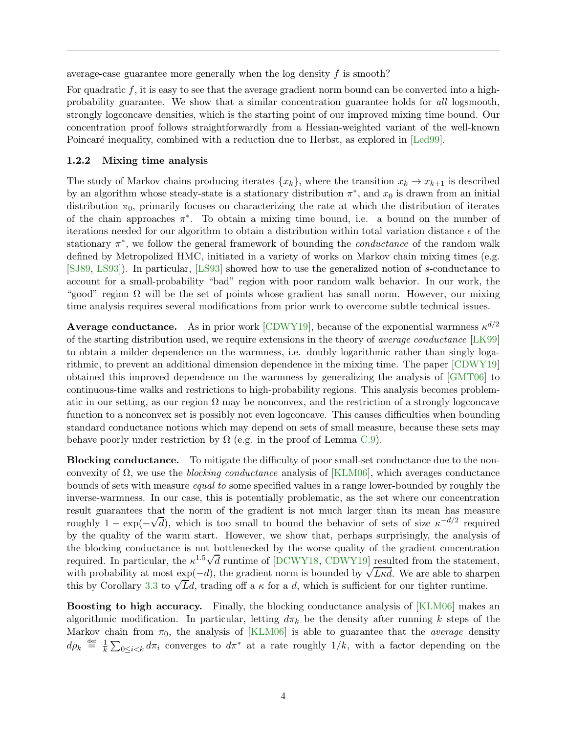average-case guarantee more generally when the log density  $f$  is smooth?

For quadratic f, it is easy to see that the average gradient norm bound can be converted into a highprobability guarantee. We show that a similar concentration guarantee holds for all logsmooth, strongly logconcave densities, which is the starting point of our improved mixing time bound. Our concentration proof follows straightforwardly from a Hessian-weighted variant of the well-known Poincaré inequality, combined with a reduction due to Herbst, as explored in [\[Led99\]](#page-15-10).

# <span id="page-4-3"></span>1.2.2 Mixing time analysis

The study of Markov chains producing iterates  ${x_k}$ , where the transition  $x_k \to x_{k+1}$  is described by an algorithm whose steady-state is a stationary distribution  $\pi^*$ , and  $x_0$  is drawn from an initial distribution  $\pi_0$ , primarily focuses on characterizing the rate at which the distribution of iterates of the chain approaches  $\pi^*$ . To obtain a mixing time bound, i.e. a bound on the number of iterations needed for our algorithm to obtain a distribution within total variation distance  $\epsilon$  of the stationary  $\pi^*$ , we follow the general framework of bounding the *conductance* of the random walk defined by Metropolized HMC, initiated in a variety of works on Markov chain mixing times (e.g. [\[SJ89,](#page-16-15) [LS93\]](#page-16-4)). In particular, [\[LS93\]](#page-16-4) showed how to use the generalized notion of s-conductance to account for a small-probability "bad" region with poor random walk behavior. In our work, the "good" region  $\Omega$  will be the set of points whose gradient has small norm. However, our mixing time analysis requires several modifications from prior work to overcome subtle technical issues.

<span id="page-4-1"></span>**Average conductance.** As in prior work [\[CDWY19\]](#page-14-0), because of the exponential warmness  $\kappa^{d/2}$ of the starting distribution used, we require extensions in the theory of average conductance [\[LK99\]](#page-15-11) to obtain a milder dependence on the warmness, i.e. doubly logarithmic rather than singly logarithmic, to prevent an additional dimension dependence in the mixing time. The paper [\[CDWY19\]](#page-14-0) obtained this improved dependence on the warmness by generalizing the analysis of [\[GMT06\]](#page-15-12) to continuous-time walks and restrictions to high-probability regions. This analysis becomes problematic in our setting, as our region  $\Omega$  may be nonconvex, and the restriction of a strongly logconcave function to a nonconvex set is possibly not even logconcave. This causes difficulties when bounding standard conductance notions which may depend on sets of small measure, because these sets may behave poorly under restriction by  $\Omega$  (e.g. in the proof of Lemma [C.9\)](#page-25-0).

<span id="page-4-2"></span>Blocking conductance. To mitigate the difficulty of poor small-set conductance due to the nonconvexity of  $\Omega$ , we use the *blocking conductance* analysis of [\[KLM06\]](#page-15-13), which averages conductance bounds of sets with measure equal to some specified values in a range lower-bounded by roughly the inverse-warmness. In our case, this is potentially problematic, as the set where our concentration result guarantees that the norm of the gradient is not much larger than its mean has measure roughly  $1 - \exp(-\sqrt{d})$ , which is too small to bound the behavior of sets of size  $\kappa^{-d/2}$  required by the quality of the warm start. However, we show that, perhaps surprisingly, the analysis of the blocking conductance is not bottlenecked by the worse quality of the gradient concentration required. In particular, the  $\kappa^{1.5}\sqrt{d}$  runtime of [\[DCWY18,](#page-15-0) [CDWY19\]](#page-14-0) resulted from the statement, with probability at most  $\exp(-d)$ , the gradient norm is bounded by  $\sqrt{Lk}d$ . We are able to sharpen this by Corollary [3.3](#page-9-0) to  $\sqrt{L}d$ , trading off a  $\kappa$  for a d, which is sufficient for our tighter runtime.

<span id="page-4-0"></span>Boosting to high accuracy. Finally, the blocking conductance analysis of [\[KLM06\]](#page-15-13) makes an algorithmic modification. In particular, letting  $d\pi_k$  be the density after running k steps of the Markov chain from  $\pi_0$ , the analysis of [\[KLM06\]](#page-15-13) is able to guarantee that the *average* density  $d\rho_k \stackrel{\text{def}}{=} \frac{1}{k}$  $\frac{1}{k} \sum_{0 \leq i < k} d\pi_i$  converges to  $d\pi^*$  at a rate roughly  $1/k$ , with a factor depending on the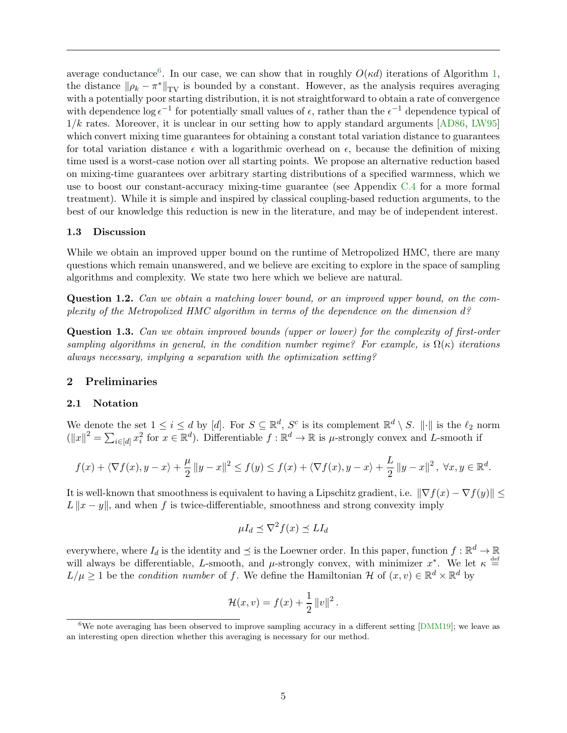average conductance<sup>[6](#page-5-0)</sup>. In our case, we can show that in roughly  $O(\kappa d)$  iterations of Algorithm [1,](#page-7-0) the distance  $\|\rho_k - \pi^*\|_{TV}$  is bounded by a constant. However, as the analysis requires averaging with a potentially poor starting distribution, it is not straightforward to obtain a rate of convergence with dependence  $\log \epsilon^{-1}$  for potentially small values of  $\epsilon$ , rather than the  $\epsilon^{-1}$  dependence typical of  $1/k$  rates. Moreover, it is unclear in our setting how to apply standard arguments [\[AD86,](#page-14-10) [LW95\]](#page-16-16) which convert mixing time guarantees for obtaining a constant total variation distance to guarantees for total variation distance  $\epsilon$  with a logarithmic overhead on  $\epsilon$ , because the definition of mixing time used is a worst-case notion over all starting points. We propose an alternative reduction based on mixing-time guarantees over arbitrary starting distributions of a specified warmness, which we use to boost our constant-accuracy mixing-time guarantee (see Appendix [C.4](#page-27-0) for a more formal treatment). While it is simple and inspired by classical coupling-based reduction arguments, to the best of our knowledge this reduction is new in the literature, and may be of independent interest.

#### 1.3 Discussion

While we obtain an improved upper bound on the runtime of Metropolized HMC, there are many questions which remain unanswered, and we believe are exciting to explore in the space of sampling algorithms and complexity. We state two here which we believe are natural.

Question 1.2. Can we obtain a matching lower bound, or an improved upper bound, on the complexity of the Metropolized HMC algorithm in terms of the dependence on the dimension d?

Question 1.3. Can we obtain improved bounds (upper or lower) for the complexity of first-order sampling algorithms in general, in the condition number regime? For example, is  $\Omega(\kappa)$  iterations always necessary, implying a separation with the optimization setting?

# 2 Preliminaries

#### 2.1 Notation

We denote the set  $1 \leq i \leq d$  by [d]. For  $S \subseteq \mathbb{R}^d$ ,  $S^c$  is its complement  $\mathbb{R}^d \setminus S$ .  $\|\cdot\|$  is the  $\ell_2$  norm  $(||x||^2 = \sum_{i \in [d]} x_i^2$  for  $x \in \mathbb{R}^d$ ). Differentiable  $f : \mathbb{R}^d \to \mathbb{R}$  is  $\mu$ -strongly convex and L-smooth if

$$
f(x) + \langle \nabla f(x), y - x \rangle + \frac{\mu}{2} \|y - x\|^2 \le f(y) \le f(x) + \langle \nabla f(x), y - x \rangle + \frac{L}{2} \|y - x\|^2, \ \forall x, y \in \mathbb{R}^d.
$$

It is well-known that smoothness is equivalent to having a Lipschitz gradient, i.e.  $\|\nabla f(x) - \nabla f(y)\| \le$  $L||x - y||$ , and when f is twice-differentiable, smoothness and strong convexity imply

$$
\mu I_d \preceq \nabla^2 f(x) \preceq L I_d
$$

everywhere, where  $I_d$  is the identity and  $\preceq$  is the Loewner order. In this paper, function  $f : \mathbb{R}^d \to \mathbb{R}$ will always be differentiable, L-smooth, and  $\mu$ -strongly convex, with minimizer  $x^*$ . We let  $\kappa \stackrel{\text{def}}{=}$  $L/\mu \geq 1$  be the *condition number* of f. We define the Hamiltonian H of  $(x, v) \in \mathbb{R}^d \times \mathbb{R}^d$  by

$$
\mathcal{H}(x,v) = f(x) + \frac{1}{2} ||v||^2.
$$

<span id="page-5-0"></span><sup>&</sup>lt;sup>6</sup>We note averaging has been observed to improve sampling accuracy in a different setting [\[DMM19\]](#page-15-8); we leave as an interesting open direction whether this averaging is necessary for our method.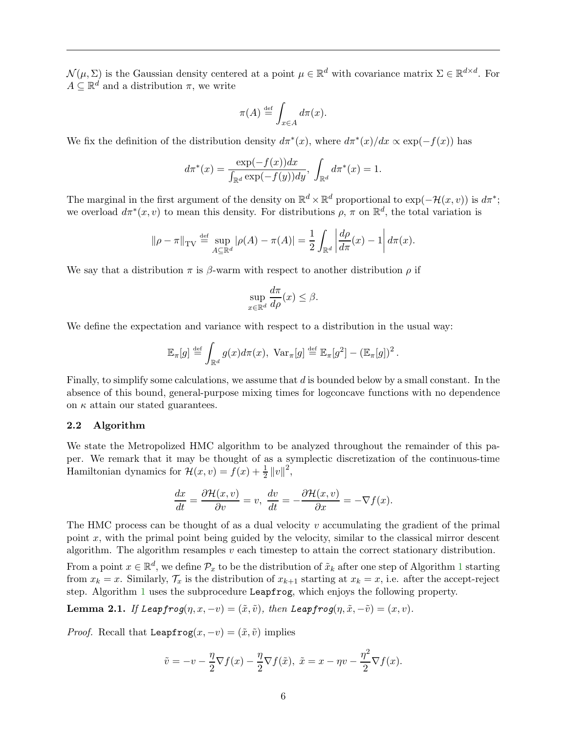$\mathcal{N}(\mu, \Sigma)$  is the Gaussian density centered at a point  $\mu \in \mathbb{R}^d$  with covariance matrix  $\Sigma \in \mathbb{R}^{d \times d}$ . For  $A \subseteq \mathbb{R}^d$  and a distribution  $\pi$ , we write

$$
\pi(A) \stackrel{\text{def}}{=} \int_{x \in A} d\pi(x).
$$

We fix the definition of the distribution density  $d\pi^*(x)$ , where  $d\pi^*(x)/dx \propto \exp(-f(x))$  has

$$
d\pi^*(x) = \frac{\exp(-f(x))dx}{\int_{\mathbb{R}^d} \exp(-f(y))dy}, \int_{\mathbb{R}^d} d\pi^*(x) = 1.
$$

The marginal in the first argument of the density on  $\mathbb{R}^d \times \mathbb{R}^d$  proportional to  $\exp(-\mathcal{H}(x,v))$  is  $d\pi^*$ ; we overload  $d\pi^*(x, v)$  to mean this density. For distributions  $\rho$ ,  $\pi$  on  $\mathbb{R}^d$ , the total variation is

$$
\|\rho - \pi\|_{\mathrm{TV}} \stackrel{\text{def}}{=} \sup_{A \subseteq \mathbb{R}^d} |\rho(A) - \pi(A)| = \frac{1}{2} \int_{\mathbb{R}^d} \left| \frac{d\rho}{d\pi}(x) - 1 \right| d\pi(x).
$$

We say that a distribution  $\pi$  is  $\beta$ -warm with respect to another distribution  $\rho$  if

$$
\sup_{x \in \mathbb{R}^d} \frac{d\pi}{d\rho}(x) \le \beta.
$$

We define the expectation and variance with respect to a distribution in the usual way:

$$
\mathbb{E}_{\pi}[g] \stackrel{\text{def}}{=} \int_{\mathbb{R}^d} g(x) d\pi(x), \text{ Var}_{\pi}[g] \stackrel{\text{def}}{=} \mathbb{E}_{\pi}[g^2] - (\mathbb{E}_{\pi}[g])^2.
$$

Finally, to simplify some calculations, we assume that d is bounded below by a small constant. In the absence of this bound, general-purpose mixing times for logconcave functions with no dependence on  $\kappa$  attain our stated guarantees.

#### 2.2 Algorithm

We state the Metropolized HMC algorithm to be analyzed throughout the remainder of this paper. We remark that it may be thought of as a symplectic discretization of the continuous-time Hamiltonian dynamics for  $\mathcal{H}(x, v) = f(x) + \frac{1}{2} ||v||^2$ ,

$$
\frac{dx}{dt} = \frac{\partial \mathcal{H}(x, v)}{\partial v} = v, \quad \frac{dv}{dt} = -\frac{\partial \mathcal{H}(x, v)}{\partial x} = -\nabla f(x).
$$

The HMC process can be thought of as a dual velocity  $v$  accumulating the gradient of the primal point  $x$ , with the primal point being guided by the velocity, similar to the classical mirror descent algorithm. The algorithm resamples  $v$  each timestep to attain the correct stationary distribution.

From a point  $x \in \mathbb{R}^d$ , we define  $\mathcal{P}_x$  to be the distribution of  $\tilde{x}_k$  after one step of Algorithm [1](#page-7-0) starting from  $x_k = x$ . Similarly,  $\mathcal{T}_x$  is the distribution of  $x_{k+1}$  starting at  $x_k = x$ , i.e. after the accept-reject step. Algorithm [1](#page-7-0) uses the subprocedure Leapfrog, which enjoys the following property.

<span id="page-6-0"></span>**Lemma 2.1.** If Leapfrog $(\eta, x, -v) = (\tilde{x}, \tilde{v})$ , then Leapfrog $(\eta, \tilde{x}, -\tilde{v}) = (x, v)$ .

*Proof.* Recall that Leapfrog $(x, -v) = (\tilde{x}, \tilde{v})$  implies

$$
\tilde{v} = -v - \frac{\eta}{2} \nabla f(x) - \frac{\eta}{2} \nabla f(\tilde{x}), \ \tilde{x} = x - \eta v - \frac{\eta^2}{2} \nabla f(x).
$$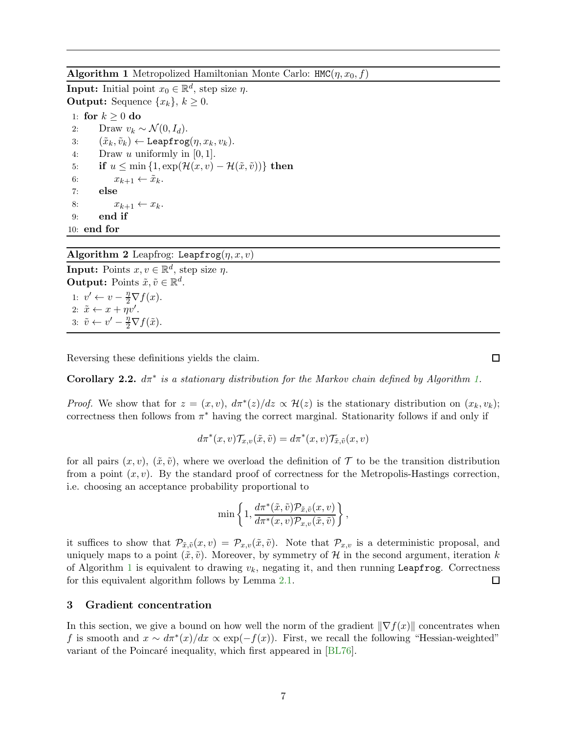<span id="page-7-0"></span>**Algorithm 1** Metropolized Hamiltonian Monte Carlo:  $HMC(\eta, x_0, f)$ 

**Input:** Initial point  $x_0 \in \mathbb{R}^d$ , step size  $\eta$ . **Output:** Sequence  $\{x_k\}, k \geq 0$ .

1: for  $k \geq 0$  do 2: Draw  $v_k \sim \mathcal{N}(0, I_d)$ .<br>3:  $(\tilde{x}_k, \tilde{v}_k) \leftarrow \text{Leapfrog}$ 3:  $(\tilde{x}_k, \tilde{v}_k) \leftarrow \text{Leapfrog}(\eta, x_k, v_k).$ <br>4: Draw u uniformly in [0, 1]. Draw u uniformly in  $[0, 1]$ . 5: **if**  $u \le \min\{1, \exp(\mathcal{H}(x, v) - \mathcal{H}(\tilde{x}, \tilde{v}))\}$  then<br>6:  $x_{k+1} \leftarrow \tilde{x}_k$ . 6:  $x_{k+1} \leftarrow \tilde{x}_k$ .<br>7: **else** else 8:  $x_{k+1} \leftarrow x_k$ . 9: end if 10: end for

# Algorithm 2 Leapfrog: Leapfrog $(\eta, x, v)$

**Input:** Points  $x, v \in \mathbb{R}^d$ , step size  $\eta$ . **Output:** Points  $\tilde{x}, \tilde{v} \in \mathbb{R}^d$ . 1:  $v' \leftarrow v - \frac{\eta}{2} \nabla f(x)$ . 2:  $\tilde{x} \leftarrow x + \eta v'.$ 3:  $\tilde{v} \leftarrow v' - \frac{\eta}{2} \nabla f(\tilde{x})$ .

Reversing these definitions yields the claim.

**Corollary 2.2.**  $d\pi^*$  is a stationary distribution for the Markov chain defined by Algorithm [1.](#page-7-0)

*Proof.* We show that for  $z = (x, v)$ ,  $d\pi^*(z)/dz \propto \mathcal{H}(z)$  is the stationary distribution on  $(x_k, v_k)$ ; correctness then follows from  $\pi^*$  having the correct marginal. Stationarity follows if and only if

$$
d\pi^*(x,v)\mathcal{T}_{x,v}(\tilde{x},\tilde{v}) = d\pi^*(x,v)\mathcal{T}_{\tilde{x},\tilde{v}}(x,v)
$$

for all pairs  $(x, v)$ ,  $(\tilde{x}, \tilde{v})$ , where we overload the definition of T to be the transition distribution from a point  $(x, v)$ . By the standard proof of correctness for the Metropolis-Hastings correction, i.e. choosing an acceptance probability proportional to

$$
\min\left\{1,\frac{d\pi^*(\tilde{x},\tilde{v})\mathcal{P}_{\tilde{x},\tilde{v}}(x,v)}{d\pi^*(x,v)\mathcal{P}_{x,v}(\tilde{x},\tilde{v})}\right\}
$$

,

it suffices to show that  $\mathcal{P}_{\tilde{x},\tilde{v}}(x,v) = \mathcal{P}_{x,v}(\tilde{x},\tilde{v})$ . Note that  $\mathcal{P}_{x,v}$  is a deterministic proposal, and uniquely maps to a point  $(\tilde{x}, \tilde{v})$ . Moreover, by symmetry of H in the second argument, iteration k of Algorithm [1](#page-7-0) is equivalent to drawing  $v_k$ , negating it, and then running Leapfrog. Correctness  $\Box$ for this equivalent algorithm follows by Lemma [2.1.](#page-6-0)

# <span id="page-7-1"></span>3 Gradient concentration

In this section, we give a bound on how well the norm of the gradient  $\|\nabla f(x)\|$  concentrates when f is smooth and  $x \sim d\pi^*(x)/dx \propto \exp(-f(x))$ . First, we recall the following "Hessian-weighted" variant of the Poincaré inequality, which first appeared in [\[BL76\]](#page-14-11).

 $\Box$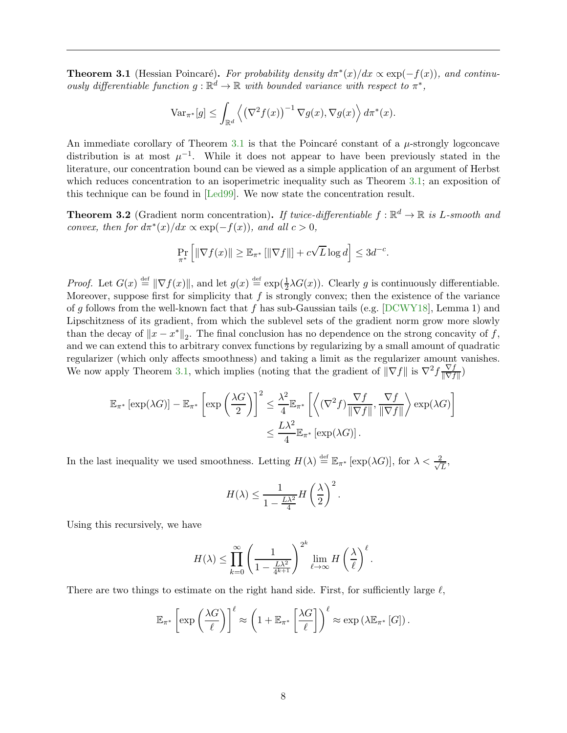<span id="page-8-0"></span>**Theorem 3.1** (Hessian Poincaré). For probability density  $d\pi^*(x)/dx \propto \exp(-f(x))$ , and continuously differentiable function  $g : \mathbb{R}^d \to \mathbb{R}$  with bounded variance with respect to  $\pi^*$ ,

$$
\text{Var}_{\pi^*}[g] \le \int_{\mathbb{R}^d} \left\langle \left(\nabla^2 f(x)\right)^{-1} \nabla g(x), \nabla g(x) \right\rangle d\pi^*(x).
$$

An immediate corollary of Theorem [3.1](#page-8-0) is that the Poincaré constant of a  $\mu$ -strongly logconcave distribution is at most  $\mu^{-1}$ . While it does not appear to have been previously stated in the literature, our concentration bound can be viewed as a simple application of an argument of Herbst which reduces concentration to an isoperimetric inequality such as Theorem [3.1;](#page-8-0) an exposition of this technique can be found in [\[Led99\]](#page-15-10). We now state the concentration result.

<span id="page-8-1"></span>**Theorem 3.2** (Gradient norm concentration). If twice-differentiable  $f : \mathbb{R}^d \to \mathbb{R}$  is L-smooth and convex, then for  $d\pi^*(x)/dx \propto \exp(-f(x))$ , and all  $c > 0$ ,

$$
\Pr_{\pi^*}\left[\|\nabla f(x)\| \ge \mathbb{E}_{\pi^*}\left[\|\nabla f\|\right] + c\sqrt{L}\log d\right] \le 3d^{-c}.
$$

*Proof.* Let  $G(x) \stackrel{\text{def}}{=} ||\nabla f(x)||$ , and let  $g(x) \stackrel{\text{def}}{=} \exp(\frac{1}{2}\lambda G(x))$ . Clearly g is continuously differentiable. Moreover, suppose first for simplicity that  $f$  is strongly convex; then the existence of the variance of g follows from the well-known fact that f has sub-Gaussian tails (e.g.  $[DCWY18]$ , Lemma 1) and Lipschitzness of its gradient, from which the sublevel sets of the gradient norm grow more slowly than the decay of  $||x - x^*||_2$ . The final conclusion has no dependence on the strong concavity of f, and we can extend this to arbitrary convex functions by regularizing by a small amount of quadratic regularizer (which only affects smoothness) and taking a limit as the regularizer amount vanishes. We now apply Theorem [3.1,](#page-8-0) which implies (noting that the gradient of  $\|\nabla f\|$  is  $\nabla^2 f \frac{\nabla f}{\|\nabla f\|}$  $\frac{\nabla f}{\|\nabla f\|})$ 

$$
\mathbb{E}_{\pi^*} \left[ \exp(\lambda G) \right] - \mathbb{E}_{\pi^*} \left[ \exp\left(\frac{\lambda G}{2}\right) \right]^2 \leq \frac{\lambda^2}{4} \mathbb{E}_{\pi^*} \left[ \left\langle (\nabla^2 f) \frac{\nabla f}{\|\nabla f\|}, \frac{\nabla f}{\|\nabla f\|} \right\rangle \exp(\lambda G) \right] \leq \frac{L\lambda^2}{4} \mathbb{E}_{\pi^*} \left[ \exp(\lambda G) \right].
$$

In the last inequality we used smoothness. Letting  $H(\lambda) \stackrel{\text{def}}{=} \mathbb{E}_{\pi^*} [\exp(\lambda G)]$ , for  $\lambda < \frac{2}{\sqrt{\lambda}}$  $\frac{2}{L}$ 

$$
H(\lambda) \le \frac{1}{1 - \frac{L\lambda^2}{4}} H\left(\frac{\lambda}{2}\right)^2
$$

.

Using this recursively, we have

$$
H(\lambda) \leq \prod_{k=0}^{\infty} \left(\frac{1}{1-\frac{L\lambda^2}{4^{k+1}}}\right)^{2^k} \lim_{\ell \to \infty} H\left(\frac{\lambda}{\ell}\right)^{\ell}.
$$

There are two things to estimate on the right hand side. First, for sufficiently large  $\ell$ ,

$$
\mathbb{E}_{\pi^*} \left[ \exp \left( \frac{\lambda G}{\ell} \right) \right]^{\ell} \approx \left( 1 + \mathbb{E}_{\pi^*} \left[ \frac{\lambda G}{\ell} \right] \right)^{\ell} \approx \exp \left( \lambda \mathbb{E}_{\pi^*} \left[ G \right] \right).
$$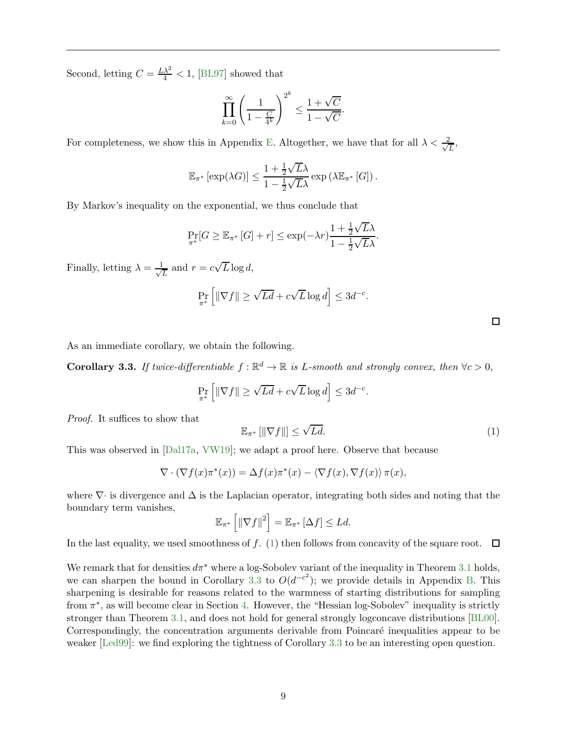Second, letting  $C = \frac{L\lambda^2}{4} < 1$ , [\[BL97\]](#page-14-12) showed that

$$
\prod_{k=0}^{\infty} \left( \frac{1}{1 - \frac{C}{4^k}} \right)^{2^k} \le \frac{1 + \sqrt{C}}{1 - \sqrt{C}}.
$$

For completeness, we show this in Appendix [E.](#page-30-0) Altogether, we have that for all  $\lambda < \frac{2}{\sqrt{2}}$  $\frac{L}{L}$ 

$$
\mathbb{E}_{\pi^*} \left[ \exp(\lambda G) \right] \le \frac{1 + \frac{1}{2} \sqrt{L} \lambda}{1 - \frac{1}{2} \sqrt{L} \lambda} \exp\left(\lambda \mathbb{E}_{\pi^*} \left[ G \right] \right).
$$

By Markov's inequality on the exponential, we thus conclude that

$$
\Pr_{\pi^*}[G \geq \mathbb{E}_{\pi^*}[G] + r] \leq \exp(-\lambda r) \frac{1 + \frac{1}{2}\sqrt{L}\lambda}{1 - \frac{1}{2}\sqrt{L}\lambda}.
$$

Finally, letting  $\lambda = \frac{1}{\sqrt{2}}$  $\frac{1}{L}$  and  $r = c\sqrt{L}\log d$ ,

$$
\Pr_{\pi^*} \left[ \|\nabla f\| \ge \sqrt{Ld} + c\sqrt{L}\log d \right] \le 3d^{-c}.
$$

As an immediate corollary, we obtain the following.

<span id="page-9-0"></span>**Corollary 3.3.** If twice-differentiable  $f : \mathbb{R}^d \to \mathbb{R}$  is L-smooth and strongly convex, then  $\forall c > 0$ ,

$$
\Pr_{\pi^*} \left[ \|\nabla f\| \ge \sqrt{Ld} + c\sqrt{L}\log d \right] \le 3d^{-c}.
$$

Proof. It suffices to show that

<span id="page-9-1"></span>
$$
\mathbb{E}_{\pi^*}\left[||\nabla f||\right] \le \sqrt{Ld}.\tag{1}
$$

This was observed in [\[Dal17a,](#page-15-14) [VW19\]](#page-17-1); we adapt a proof here. Observe that because

$$
\nabla \cdot (\nabla f(x)\pi^*(x)) = \Delta f(x)\pi^*(x) - \langle \nabla f(x), \nabla f(x) \rangle \pi(x),
$$

where  $\nabla \cdot$  is divergence and  $\Delta$  is the Laplacian operator, integrating both sides and noting that the boundary term vanishes,

$$
\mathbb{E}_{\pi^*}\left[\|\nabla f\|^2\right] = \mathbb{E}_{\pi^*}\left[\Delta f\right] \le Ld.
$$

In the last equality, we used smoothness of f. [\(1\)](#page-9-1) then follows from concavity of the square root.  $\Box$ 

We remark that for densities  $d\pi^*$  where a log-Sobolev variant of the inequality in Theorem [3.1](#page-8-0) holds, we can sharpen the bound in Corollary [3.3](#page-9-0) to  $O(d^{-c^2})$ ; we provide details in Appendix [B.](#page-18-1) This sharpening is desirable for reasons related to the warmness of starting distributions for sampling from  $\pi^*$ , as will become clear in Section [4.](#page-10-0) However, the "Hessian log-Sobolev" inequality is strictly stronger than Theorem [3.1,](#page-8-0) and does not hold for general strongly logconcave distributions [\[BL00\]](#page-14-13). Correspondingly, the concentration arguments derivable from Poincaré inequalities appear to be weaker [\[Led99\]](#page-15-10): we find exploring the tightness of Corollary [3.3](#page-9-0) to be an interesting open question.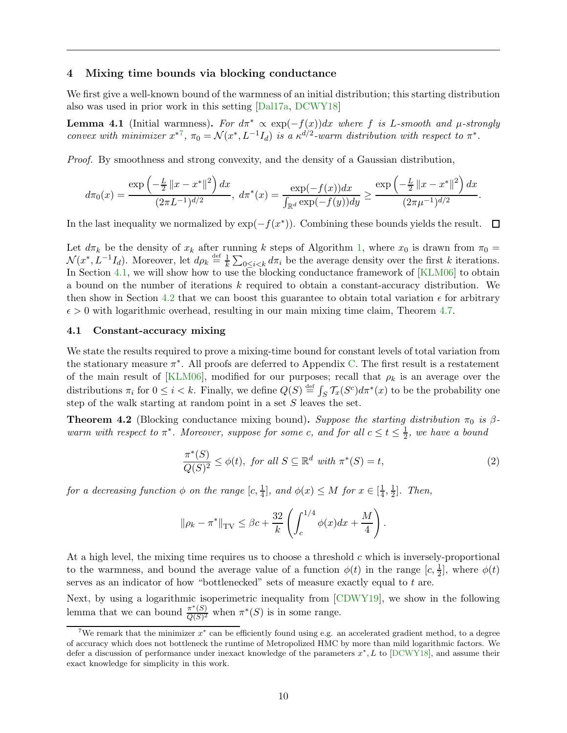#### <span id="page-10-0"></span>4 Mixing time bounds via blocking conductance

We first give a well-known bound of the warmness of an initial distribution; this starting distribution also was used in prior work in this setting [\[Dal17a,](#page-15-14) [DCWY18\]](#page-15-0)

<span id="page-10-5"></span>**Lemma 4.1** (Initial warmness). For  $d\pi^* \propto \exp(-f(x))dx$  where f is L-smooth and  $\mu$ -strongly convex with minimizer  $x^{*7}$  $x^{*7}$  $x^{*7}$ ,  $\pi_0 = \mathcal{N}(x^*, L^{-1}I_d)$  is a  $\kappa^{d/2}$ -warm distribution with respect to  $\pi^*$ .

Proof. By smoothness and strong convexity, and the density of a Gaussian distribution,

$$
d\pi_0(x) = \frac{\exp\left(-\frac{L}{2}\left\|x - x^*\right\|^2\right)dx}{(2\pi L^{-1})^{d/2}}, \ d\pi^*(x) = \frac{\exp(-f(x))dx}{\int_{\mathbb{R}^d} \exp(-f(y))dy} \ge \frac{\exp\left(-\frac{L}{2}\left\|x - x^*\right\|^2\right)dx}{(2\pi\mu^{-1})^{d/2}}.
$$

In the last inequality we normalized by  $\exp(-f(x^*))$ . Combining these bounds yields the result.  $\Box$ 

Let  $d\pi_k$  be the density of  $x_k$  after running k steps of Algorithm [1,](#page-7-0) where  $x_0$  is drawn from  $\pi_0 =$  $\mathcal{N}(x^*, L^{-1}I_d)$ . Moreover, let  $d\rho_k \stackrel{\text{def}}{=} \frac{1}{k}$  $\frac{1}{k} \sum_{0 \leq i \leq k} d\pi_i$  be the average density over the first k iterations. In Section [4.1,](#page-10-2) we will show how to use the blocking conductance framework of [\[KLM06\]](#page-15-13) to obtain a bound on the number of iterations k required to obtain a constant-accuracy distribution. We then show in Section [4.2](#page-12-2) that we can boost this guarantee to obtain total variation  $\epsilon$  for arbitrary  $\epsilon > 0$  with logarithmic overhead, resulting in our main mixing time claim, Theorem [4.7.](#page-12-0)

#### <span id="page-10-2"></span>4.1 Constant-accuracy mixing

We state the results required to prove a mixing-time bound for constant levels of total variation from the stationary measure  $\pi^*$ . All proofs are deferred to Appendix [C.](#page-20-0) The first result is a restatement of the main result of [\[KLM06\]](#page-15-13), modified for our purposes; recall that  $\rho_k$  is an average over the distributions  $\pi_i$  for  $0 \le i < k$ . Finally, we define  $Q(S) \stackrel{\text{def}}{=} \int_S \mathcal{T}_x(S^c) d\pi^*(x)$  to be the probability one step of the walk starting at random point in a set  $S$  leaves the set.

<span id="page-10-3"></span>**Theorem 4.2** (Blocking conductance mixing bound). Suppose the starting distribution  $\pi_0$  is  $\beta$ warm with respect to  $\pi^*$ . Moreover, suppose for some c, and for all  $c \le t \le \frac{1}{2}$  $\frac{1}{2}$ , we have a bound

<span id="page-10-4"></span>
$$
\frac{\pi^*(S)}{Q(S)^2} \le \phi(t), \text{ for all } S \subseteq \mathbb{R}^d \text{ with } \pi^*(S) = t,
$$
\n
$$
(2)
$$

.

for a decreasing function  $\phi$  on the range  $[c, \frac{1}{4}]$ , and  $\phi(x) \leq M$  for  $x \in [\frac{1}{4}]$  $\frac{1}{4}, \frac{1}{2}$  $\frac{1}{2}$ . Then,

$$
\|\rho_k - \pi^*\|_{TV} \le \beta c + \frac{32}{k} \left( \int_c^{1/4} \phi(x) dx + \frac{M}{4} \right)
$$

At a high level, the mixing time requires us to choose a threshold  $c$  which is inversely-proportional to the warmness, and bound the average value of a function  $\phi(t)$  in the range  $[c, \frac{1}{2}]$ , where  $\phi(t)$ serves as an indicator of how "bottlenecked" sets of measure exactly equal to t are.

Next, by using a logarithmic isoperimetric inequality from [\[CDWY19\]](#page-14-0), we show in the following lemma that we can bound  $\frac{\pi^*(S)}{O(S)^2}$  $\frac{\pi^*(S)}{Q(S)^2}$  when  $\pi^*(S)$  is in some range.

<span id="page-10-1"></span><sup>&</sup>lt;sup>7</sup>We remark that the minimizer  $x^*$  can be efficiently found using e.g. an accelerated gradient method, to a degree of accuracy which does not bottleneck the runtime of Metropolized HMC by more than mild logarithmic factors. We defer a discussion of performance under inexact knowledge of the parameters  $x^*$ , L to [\[DCWY18\]](#page-15-0), and assume their exact knowledge for simplicity in this work.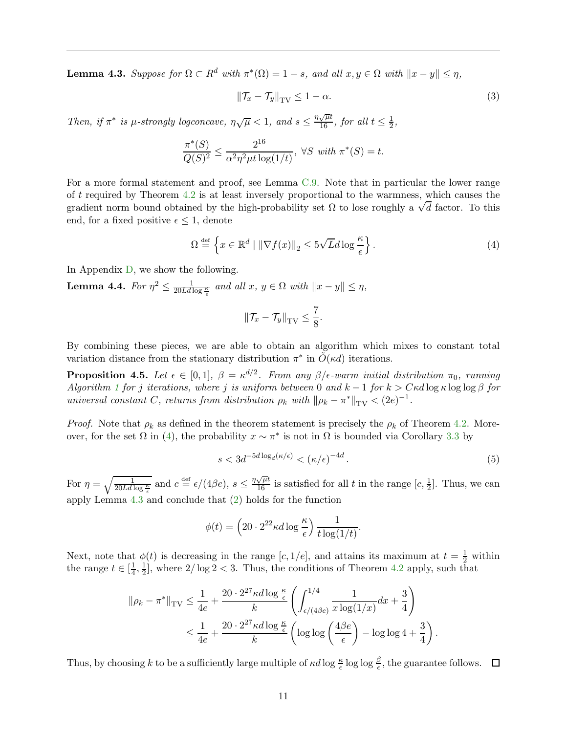<span id="page-11-1"></span>**Lemma 4.3.** Suppose for  $\Omega \subset R^d$  with  $\pi^*(\Omega) = 1 - s$ , and all  $x, y \in \Omega$  with  $||x - y|| \leq \eta$ ,

$$
\left\|\mathcal{T}_x - \mathcal{T}_y\right\|_{\text{TV}} \le 1 - \alpha. \tag{3}
$$

Then, if  $\pi^*$  is  $\mu$ -strongly logconcave,  $\eta \sqrt{\mu} < 1$ , and  $s \leq \frac{\eta \sqrt{\mu} t}{16}$ , for all  $t \leq \frac{1}{2}$ ,

$$
\frac{\pi^*(S)}{Q(S)^2} \le \frac{2^{16}}{\alpha^2 \eta^2 \mu t \log(1/t)}, \ \forall S \ with \ \pi^*(S) = t.
$$

For a more formal statement and proof, see Lemma [C.9.](#page-25-0) Note that in particular the lower range of t required by Theorem [4.2](#page-10-3) is at least inversely proportional to the warmness, which causes the gradient norm bound obtained by the high-probability set  $\Omega$  to lose roughly a  $\sqrt{d}$  factor. To this end, for a fixed positive  $\epsilon \leq 1$ , denote

<span id="page-11-0"></span>
$$
\Omega \stackrel{\text{def}}{=} \left\{ x \in \mathbb{R}^d \mid \|\nabla f(x)\|_2 \le 5\sqrt{L}d\log\frac{\kappa}{\epsilon} \right\}. \tag{4}
$$

In Appendix [D,](#page-28-0) we show the following.

<span id="page-11-3"></span>**Lemma 4.4.** For  $\eta^2 \le \frac{1}{20Ld \log \frac{\kappa}{\epsilon}}$  and all  $x, y \in \Omega$  with  $||x - y|| \le \eta$ ,

$$
\|\mathcal{T}_x-\mathcal{T}_y\|_{\text{TV}} \leq \frac{7}{8}.
$$

By combining these pieces, we are able to obtain an algorithm which mixes to constant total variation distance from the stationary distribution  $\pi^*$  in  $\tilde{O}(\kappa d)$  iterations.

<span id="page-11-2"></span>**Proposition 4.5.** Let  $\epsilon \in [0,1], \ \beta = \kappa^{d/2}$ . From any  $\beta/\epsilon$ -warm initial distribution  $\pi_0$ , running Algorithm [1](#page-7-0) for j iterations, where j is uniform between 0 and  $k - 1$  for  $k > C \kappa d \log \kappa \log \log \beta$  for universal constant C, returns from distribution  $\rho_k$  with  $\|\rho_k - \pi^*\|_{TV} < (2e)^{-1}$ .

*Proof.* Note that  $\rho_k$  as defined in the theorem statement is precisely the  $\rho_k$  of Theorem [4.2.](#page-10-3) Moreover, for the set  $\Omega$  in [\(4\)](#page-11-0), the probability  $x \sim \pi^*$  is not in  $\Omega$  is bounded via Corollary [3.3](#page-9-0) by

$$
s < 3d^{-5d\log_d(\kappa/\epsilon)} < (\kappa/\epsilon)^{-4d}.\tag{5}
$$

For  $\eta = \sqrt{\frac{1}{20Ld\log{\frac{\kappa}{\epsilon}}}}$  and  $c \stackrel{\text{def}}{=} \epsilon/(4\beta e)$ ,  $s \leq \frac{\eta\sqrt{\mu}t}{16}$  is satisfied for all t in the range  $[c, \frac{1}{2}]$ . Thus, we can apply Lemma [4.3](#page-11-1) and conclude that [\(2\)](#page-10-4) holds for the function

$$
\phi(t) = \left(20 \cdot 2^{22} \kappa d \log \frac{\kappa}{\epsilon}\right) \frac{1}{t \log(1/t)}.
$$

Next, note that  $\phi(t)$  is decreasing in the range [c, 1/e], and attains its maximum at  $t = \frac{1}{2}$  within the range  $t \in \left[\frac{1}{4}\right]$  $\frac{1}{4}, \frac{1}{2}$  $\frac{1}{2}$ , where  $2/\log 2 < 3$ . Thus, the conditions of Theorem [4.2](#page-10-3) apply, such that

$$
\|\rho_k - \pi^*\|_{\text{TV}} \le \frac{1}{4e} + \frac{20 \cdot 2^{27} \kappa d \log \frac{\kappa}{\epsilon}}{k} \left( \int_{\epsilon/(4\beta e)}^{1/4} \frac{1}{x \log(1/x)} dx + \frac{3}{4} \right)
$$
  

$$
\le \frac{1}{4e} + \frac{20 \cdot 2^{27} \kappa d \log \frac{\kappa}{\epsilon}}{k} \left( \log \log \left( \frac{4\beta e}{\epsilon} \right) - \log \log 4 + \frac{3}{4} \right).
$$

Thus, by choosing k to be a sufficiently large multiple of  $\kappa d \log \frac{\kappa}{\epsilon} \log \log \frac{\beta}{\epsilon}$ , the guarantee follows.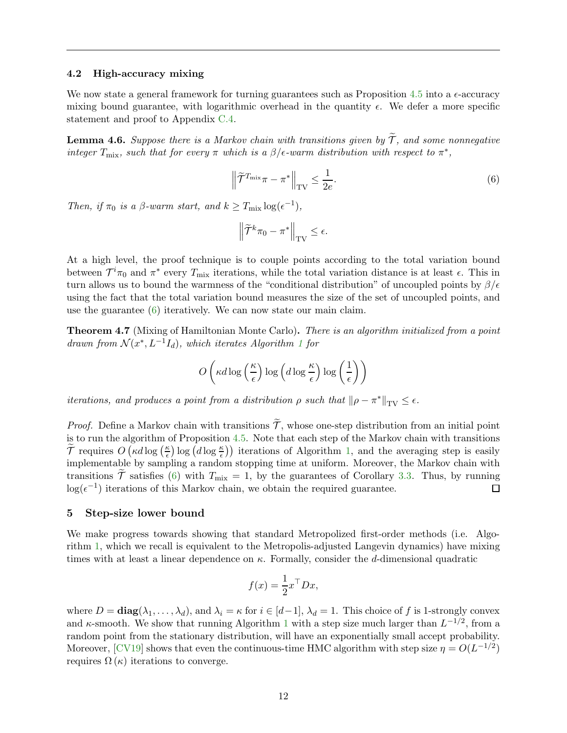#### <span id="page-12-2"></span>4.2 High-accuracy mixing

We now state a general framework for turning guarantees such as Proposition [4.5](#page-11-2) into a  $\epsilon$ -accuracy mixing bound guarantee, with logarithmic overhead in the quantity  $\epsilon$ . We defer a more specific statement and proof to Appendix [C.4.](#page-27-0)

**Lemma 4.6.** Suppose there is a Markov chain with transitions given by  $\widetilde{\mathcal{T}}$ , and some nonnegative integer  $T_{\text{mix}}$ , such that for every  $\pi$  which is a  $\beta$ / $\epsilon$ -warm distribution with respect to  $\pi^*$ ,

<span id="page-12-3"></span>
$$
\left\|\widetilde{\mathcal{T}}^{T_{\text{mix}}}\pi - \pi^*\right\|_{\text{TV}} \le \frac{1}{2e}.\tag{6}
$$

Then, if  $\pi_0$  is a  $\beta$ -warm start, and  $k \geq T_{\text{mix}} \log(\epsilon^{-1}),$ 

$$
\left\|\widetilde{\mathcal{T}}^k\pi_0-\pi^*\right\|_{\mathrm{TV}}\leq \epsilon.
$$

At a high level, the proof technique is to couple points according to the total variation bound between  $\mathcal{T}^i\pi_0$  and  $\pi^*$  every  $T_{\text{mix}}$  iterations, while the total variation distance is at least  $\epsilon$ . This in turn allows us to bound the warmness of the "conditional distribution" of uncoupled points by  $\beta/\epsilon$ using the fact that the total variation bound measures the size of the set of uncoupled points, and use the guarantee [\(6\)](#page-12-3) iteratively. We can now state our main claim.

<span id="page-12-0"></span>Theorem 4.7 (Mixing of Hamiltonian Monte Carlo). There is an algorithm initialized from a point drawn from  $\mathcal{N}(x^*, L^{-1}I_d)$  $\mathcal{N}(x^*, L^{-1}I_d)$  $\mathcal{N}(x^*, L^{-1}I_d)$ , which iterates Algorithm 1 for

$$
O\left(\kappa d \log\left(\frac{\kappa}{\epsilon}\right) \log\left(d \log\frac{\kappa}{\epsilon}\right) \log\left(\frac{1}{\epsilon}\right)\right)
$$

*iterations, and produces a point from a distribution*  $\rho$  *such that*  $\|\rho - \pi^*\|_{TV} \leq \epsilon$ .

*Proof.* Define a Markov chain with transitions  $\widetilde{\mathcal{T}}$ , whose one-step distribution from an initial point is to run the algorithm of Proposition [4.5.](#page-11-2) Note that each step of the Markov chain with transitions  $\widetilde{\mathcal{T}}$  requires  $O\left(\kappa d \log\left(\frac{\kappa}{\epsilon}\right)\right)$  $\frac{\kappa}{\epsilon}$ ) log  $(d \log \frac{\kappa}{\epsilon})$  iterations of Algorithm [1,](#page-7-0) and the averaging step is easily implementable by sampling a random stopping time at uniform. Moreover, the Markov chain with transitions  $\tilde{\mathcal{T}}$  satisfies [\(6\)](#page-12-3) with  $T_{\text{mix}} = 1$ , by the guarantees of Corollary [3.3.](#page-9-0) Thus, by running  $\log(\epsilon^{-1})$  iterations of this Markov chain, we obtain the required guarantee.  $log(\epsilon^{-1})$  iterations of this Markov chain, we obtain the required guarantee.

#### <span id="page-12-1"></span>5 Step-size lower bound

We make progress towards showing that standard Metropolized first-order methods (i.e. Algorithm [1,](#page-7-0) which we recall is equivalent to the Metropolis-adjusted Langevin dynamics) have mixing times with at least a linear dependence on  $\kappa$ . Formally, consider the d-dimensional quadratic

$$
f(x) = \frac{1}{2}x^{\top}Dx,
$$

where  $D = diag(\lambda_1, ..., \lambda_d)$ , and  $\lambda_i = \kappa$  for  $i \in [d-1], \lambda_d = 1$ . This choice of f is 1-strongly convex and  $\kappa$ -smooth. We show that running Algorithm [1](#page-7-0) with a step size much larger than  $L^{-1/2}$ , from a random point from the stationary distribution, will have an exponentially small accept probability. Moreover, [\[CV19\]](#page-15-7) shows that even the continuous-time HMC algorithm with step size  $\eta = O(L^{-1/2})$ requires  $\Omega(\kappa)$  iterations to converge.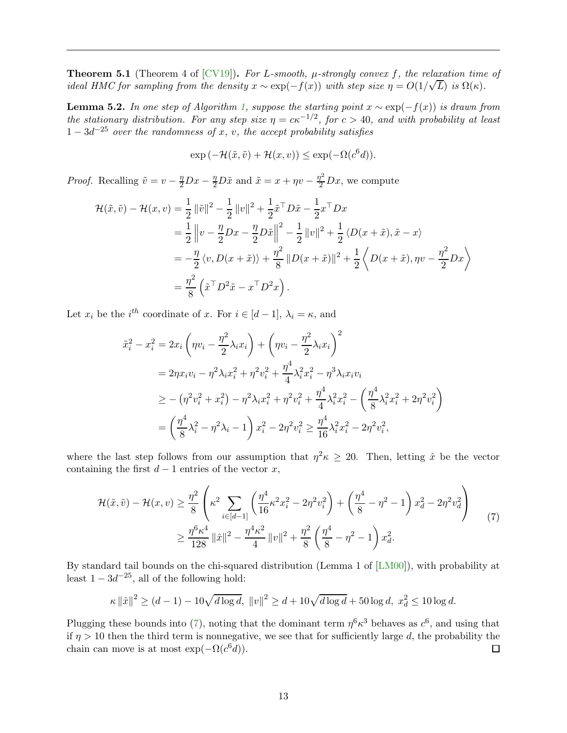<span id="page-13-1"></span>**Theorem 5.1** (Theorem 4 of [\[CV19\]](#page-15-7)). For L-smooth,  $\mu$ -strongly convex f, the relaxation time of ideal HMC for sampling from the density  $x \sim \exp(-f(x))$  with step size  $\eta = O(1/\sqrt{L})$  is  $\Omega(\kappa)$ .

**Lemma 5.2.** In one step of Algorithm [1,](#page-7-0) suppose the starting point  $x \sim \exp(-f(x))$  is drawn from the stationary distribution. For any step size  $\eta = c\kappa^{-1/2}$ , for  $c > 40$ , and with probability at least  $1-3d^{-25}$  over the randomness of x, v, the accept probability satisfies

$$
\exp(-\mathcal{H}(\tilde{x}, \tilde{v}) + \mathcal{H}(x, v)) \le \exp(-\Omega(c^6 d)).
$$

*Proof.* Recalling  $\tilde{v} = v - \frac{\eta}{2}Dx - \frac{\eta}{2}D\tilde{x}$  and  $\tilde{x} = x + \eta v - \frac{\eta^2}{2}Dx$ , we compute

$$
\mathcal{H}(\tilde{x}, \tilde{v}) - \mathcal{H}(x, v) = \frac{1}{2} ||\tilde{v}||^2 - \frac{1}{2} ||v||^2 + \frac{1}{2} \tilde{x}^\top D \tilde{x} - \frac{1}{2} x^\top D x \n= \frac{1}{2} ||v - \frac{\eta}{2} Dx - \frac{\eta}{2} D \tilde{x}||^2 - \frac{1}{2} ||v||^2 + \frac{1}{2} \langle D(x + \tilde{x}), \tilde{x} - x \rangle \n= -\frac{\eta}{2} \langle v, D(x + \tilde{x}) \rangle + \frac{\eta^2}{8} ||D(x + \tilde{x})||^2 + \frac{1}{2} \langle D(x + \tilde{x}), \eta v - \frac{\eta^2}{2} Dx \rangle \n= \frac{\eta^2}{8} (\tilde{x}^\top D^2 \tilde{x} - x^\top D^2 x).
$$

Let  $x_i$  be the  $i^{th}$  coordinate of  $x$ . For  $i \in [d-1]$ ,  $\lambda_i = \kappa$ , and

$$
\tilde{x}_i^2 - x_i^2 = 2x_i \left( \eta v_i - \frac{\eta^2}{2} \lambda_i x_i \right) + \left( \eta v_i - \frac{\eta^2}{2} \lambda_i x_i \right)^2 \n= 2\eta x_i v_i - \eta^2 \lambda_i x_i^2 + \eta^2 v_i^2 + \frac{\eta^4}{4} \lambda_i^2 x_i^2 - \eta^3 \lambda_i x_i v_i \n\ge -(\eta^2 v_i^2 + x_i^2) - \eta^2 \lambda_i x_i^2 + \eta^2 v_i^2 + \frac{\eta^4}{4} \lambda_i^2 x_i^2 - \left( \frac{\eta^4}{8} \lambda_i^2 x_i^2 + 2\eta^2 v_i^2 \right) \n= \left( \frac{\eta^4}{8} \lambda_i^2 - \eta^2 \lambda_i - 1 \right) x_i^2 - 2\eta^2 v_i^2 \ge \frac{\eta^4}{16} \lambda_i^2 x_i^2 - 2\eta^2 v_i^2,
$$

where the last step follows from our assumption that  $\eta^2 \kappa \geq 20$ . Then, letting  $\hat{x}$  be the vector containing the first  $d-1$  entries of the vector x,

<span id="page-13-0"></span>
$$
\mathcal{H}(\tilde{x}, \tilde{v}) - \mathcal{H}(x, v) \geq \frac{\eta^2}{8} \left( \kappa^2 \sum_{i \in [d-1]} \left( \frac{\eta^4}{16} \kappa^2 x_i^2 - 2\eta^2 v_i^2 \right) + \left( \frac{\eta^4}{8} - \eta^2 - 1 \right) x_d^2 - 2\eta^2 v_d^2 \right) \tag{7}
$$

$$
\geq \frac{\eta^6 \kappa^4}{128} \|\hat{x}\|^2 - \frac{\eta^4 \kappa^2}{4} \|v\|^2 + \frac{\eta^2}{8} \left( \frac{\eta^4}{8} - \eta^2 - 1 \right) x_d^2.
$$

By standard tail bounds on the chi-squared distribution (Lemma 1 of [\[LM00\]](#page-15-15)), with probability at least  $1 - 3d^{-25}$ , all of the following hold:

$$
\kappa \|\hat{x}\|^2 \ge (d-1) - 10\sqrt{d \log d}, \ \|v\|^2 \ge d + 10\sqrt{d \log d} + 50 \log d, \ x_d^2 \le 10 \log d.
$$

Plugging these bounds into [\(7\)](#page-13-0), noting that the dominant term  $\eta^6 \kappa^3$  behaves as  $c^6$ , and using that if  $\eta > 10$  then the third term is nonnegative, we see that for sufficiently large d, the probability the chain can move is at most  $\exp(-\Omega(c^6 d)).$  $\Box$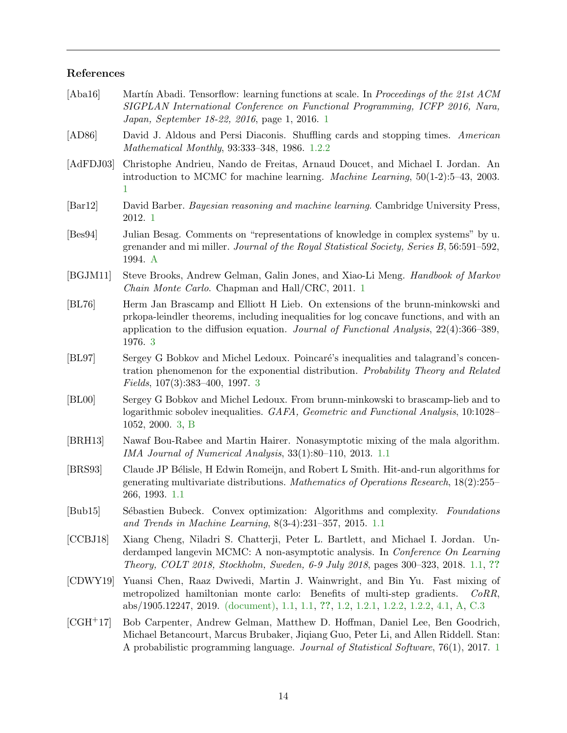# References

<span id="page-14-14"></span><span id="page-14-13"></span><span id="page-14-12"></span><span id="page-14-11"></span><span id="page-14-10"></span><span id="page-14-9"></span><span id="page-14-8"></span><span id="page-14-7"></span><span id="page-14-6"></span><span id="page-14-5"></span><span id="page-14-4"></span><span id="page-14-3"></span><span id="page-14-2"></span><span id="page-14-1"></span><span id="page-14-0"></span>

| [Aba16]                     | Martín Abadi. Tensorflow: learning functions at scale. In Proceedings of the 21st ACM<br>SIGPLAN International Conference on Functional Programming, ICFP 2016, Nara,<br>Japan, September 18-22, 2016, page 1, 2016. 1                                                           |
|-----------------------------|----------------------------------------------------------------------------------------------------------------------------------------------------------------------------------------------------------------------------------------------------------------------------------|
| [AD86]                      | David J. Aldous and Persi Diaconis. Shuffling cards and stopping times. American<br>Mathematical Monthly, 93:333-348, 1986. 1.2.2                                                                                                                                                |
| [AdFDJ03]                   | Christophe Andrieu, Nando de Freitas, Arnaud Doucet, and Michael I. Jordan. An<br>introduction to MCMC for machine learning. <i>Machine Learning</i> , $50(1-2):5-43$ , 2003.<br>$\mathbf 1$                                                                                     |
| $\left[\text{Bar12}\right]$ | David Barber. Bayesian reasoning and machine learning. Cambridge University Press,<br>2012. 1                                                                                                                                                                                    |
| [Bes94]                     | Julian Besag. Comments on "representations of knowledge in complex systems" by u.<br>grenander and mi miller. Journal of the Royal Statistical Society, Series B, 56:591-592,<br>1994. A                                                                                         |
| [BGJM11]                    | Steve Brooks, Andrew Gelman, Galin Jones, and Xiao-Li Meng. <i>Handbook of Markov</i><br>Chain Monte Carlo. Chapman and Hall/CRC, 2011. 1                                                                                                                                        |
| [BL76]                      | Herm Jan Brascamp and Elliott H Lieb. On extensions of the brunn-minkowski and<br>prkopa-leindler theorems, including inequalities for log concave functions, and with an<br>application to the diffusion equation. Journal of Functional Analysis, $22(4)$ :366-389,<br>1976. 3 |
| BL97                        | Sergey G Bobkov and Michel Ledoux. Poincaré's inequalities and talagrand's concen-<br>tration phenomenon for the exponential distribution. Probability Theory and Related<br><i>Fields</i> , $107(3):383-400$ , 1997. 3                                                          |
| [BL00]                      | Sergey G Bobkov and Michel Ledoux. From brunn-minkowski to brascamp-lieb and to<br>logarithmic sobolev inequalities. GAFA, Geometric and Functional Analysis, 10:1028–<br>1052, 2000. 3, B                                                                                       |
| [BRH13]                     | Nawaf Bou-Rabee and Martin Hairer. Nonasymptotic mixing of the mala algorithm.<br>IMA Journal of Numerical Analysis, 33(1):80–110, 2013. 1.1                                                                                                                                     |
| [BRS93]                     | Claude JP Bélisle, H Edwin Romeijn, and Robert L Smith. Hit-and-run algorithms for<br>generating multivariate distributions. Mathematics of Operations Research, $18(2):255-$<br>266, 1993. 1.1                                                                                  |
| $[{\rm Bub15}]$             | Sébastien Bubeck. Convex optimization: Algorithms and complexity. Foundations<br>and Trends in Machine Learning, $8(3-4):231-357$ , 2015. 1.1                                                                                                                                    |
| [CCBJ18]                    | Xiang Cheng, Niladri S. Chatterji, Peter L. Bartlett, and Michael I. Jordan. Un-<br>derdamped langevin MCMC: A non-asymptotic analysis. In <i>Conference On Learning</i><br>Theory, COLT 2018, Stockholm, Sweden, 6-9 July 2018, pages 300-323, 2018. 1.1, ??                    |
| [CDWY19]                    | Yuansi Chen, Raaz Dwivedi, Martin J. Wainwright, and Bin Yu. Fast mixing of<br>metropolized hamiltonian monte carlo: Benefits of multi-step gradients.<br>CoRR,<br>abs/1905.12247, 2019. (document), 1.1, 1.1, ??, 1.2, 1.2.1, 1.2.2, 1.2.2, 4.1, A, C.3                         |
| $[CGH+17]$                  | Bob Carpenter, Andrew Gelman, Matthew D. Hoffman, Daniel Lee, Ben Goodrich,<br>Michael Betancourt, Marcus Brubaker, Jiqiang Guo, Peter Li, and Allen Riddell. Stan:<br>A probabilistic programming language. Journal of Statistical Software, 76(1), 2017. 1                     |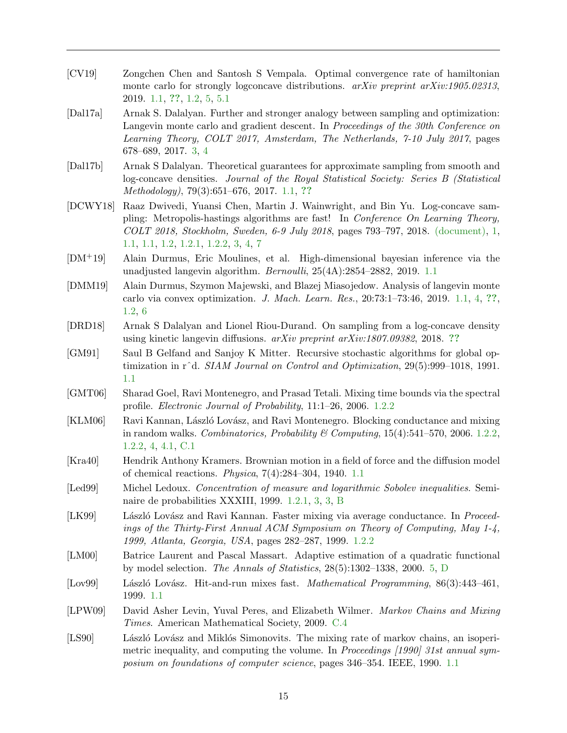- <span id="page-15-7"></span>[CV19] Zongchen Chen and Santosh S Vempala. Optimal convergence rate of hamiltonian monte carlo for strongly logconcave distributions. arXiv preprint arXiv:1905.02313, 2019. [1.1,](#page-1-2) [??](#page-3-0), [1.2,](#page-2-4) [5,](#page-12-1) [5.1](#page-13-1)
- <span id="page-15-14"></span>[Dal17a] Arnak S. Dalalyan. Further and stronger analogy between sampling and optimization: Langevin monte carlo and gradient descent. In *Proceedings of the 30th Conference on* Learning Theory, COLT 2017, Amsterdam, The Netherlands, 7-10 July 2017, pages 678–689, 2017. [3,](#page-9-1) [4](#page-10-0)
- <span id="page-15-5"></span>[Dal17b] Arnak S Dalalyan. Theoretical guarantees for approximate sampling from smooth and log-concave densities. Journal of the Royal Statistical Society: Series B (Statistical Methodology), 79(3):651–676, 2017. [1.1,](#page-1-2) [??](#page-3-0)
- <span id="page-15-0"></span>[DCWY18] Raaz Dwivedi, Yuansi Chen, Martin J. Wainwright, and Bin Yu. Log-concave sampling: Metropolis-hastings algorithms are fast! In Conference On Learning Theory, COLT 2018, Stockholm, Sweden, 6-9 July 2018, pages 793–797, 2018. [\(document\),](#page-0-1) [1,](#page-1-1) [1.1,](#page-1-2) [1.1,](#page-2-1) [1.2,](#page-2-4) [1.2.1,](#page-3-1) [1.2.2,](#page-4-2) [3,](#page-8-1) [4,](#page-10-0) [7](#page-10-1)
- <span id="page-15-6"></span>[DM+19] Alain Durmus, Eric Moulines, et al. High-dimensional bayesian inference via the unadjusted langevin algorithm. Bernoulli, 25(4A):2854–2882, 2019. [1.1](#page-1-2)
- <span id="page-15-8"></span>[DMM19] Alain Durmus, Szymon Majewski, and Blazej Miasojedow. Analysis of langevin monte carlo via convex optimization. J. Mach. Learn. Res., 20:73:1–73:46, 2019. [1.1,](#page-1-2) [4,](#page-3-0) [??](#page-3-0), [1.2,](#page-2-4) [6](#page-5-0)
- <span id="page-15-9"></span>[DRD18] Arnak S Dalalyan and Lionel Riou-Durand. On sampling from a log-concave density using kinetic langevin diffusions.  $arXiv$  preprint  $arXiv:1807.09382$ , 2018. [??](#page-3-0)
- <span id="page-15-3"></span>[GM91] Saul B Gelfand and Sanjoy K Mitter. Recursive stochastic algorithms for global optimization in rˆd. SIAM Journal on Control and Optimization, 29(5):999–1018, 1991. [1.1](#page-1-2)
- <span id="page-15-12"></span>[GMT06] Sharad Goel, Ravi Montenegro, and Prasad Tetali. Mixing time bounds via the spectral profile. Electronic Journal of Probability, 11:1–26, 2006. [1.2.2](#page-4-1)
- <span id="page-15-13"></span>[KLM06] Ravi Kannan, László Lovász, and Ravi Montenegro. Blocking conductance and mixing in random walks. Combinatorics, Probability & Computing,  $15(4)$ :541–570, 2006. [1.2.2,](#page-4-2) [1.2.2,](#page-4-0) [4,](#page-10-5) [4.1,](#page-10-2) [C.1](#page-20-1)
- <span id="page-15-4"></span>[Kra40] Hendrik Anthony Kramers. Brownian motion in a field of force and the diffusion model of chemical reactions. Physica, 7(4):284–304, 1940. [1.1](#page-1-2)
- <span id="page-15-10"></span>[Led99] Michel Ledoux. Concentration of measure and logarithmic Sobolev inequalities. Seminaire de probabilities XXXIII, 1999. [1.2.1,](#page-3-1) [3,](#page-8-0) [3,](#page-9-1) [B](#page-18-2)
- <span id="page-15-11"></span>[LK99] László Lovász and Ravi Kannan. Faster mixing via average conductance. In *Proceed*ings of the Thirty-First Annual ACM Symposium on Theory of Computing, May 1-4, 1999, Atlanta, Georgia, USA, pages 282–287, 1999. [1.2.2](#page-4-1)
- <span id="page-15-15"></span>[LM00] Batrice Laurent and Pascal Massart. Adaptive estimation of a quadratic functional by model selection. The Annals of Statistics, 28(5):1302–1338, 2000. [5,](#page-13-0) [D](#page-28-1)
- <span id="page-15-2"></span>[Lov99] László Lovász. Hit-and-run mixes fast. *Mathematical Programming*, 86(3):443–461, 1999. [1.1](#page-1-2)
- <span id="page-15-16"></span>[LPW09] David Asher Levin, Yuval Peres, and Elizabeth Wilmer. *Markov Chains and Mixing* Times. American Mathematical Society, 2009. [C.4](#page-27-1)
- <span id="page-15-1"></span>[LS90] László Lovász and Miklós Simonovits. The mixing rate of markov chains, an isoperimetric inequality, and computing the volume. In *Proceedings* [1990] 31st annual symposium on foundations of computer science, pages 346–354. IEEE, 1990. [1.1](#page-1-2)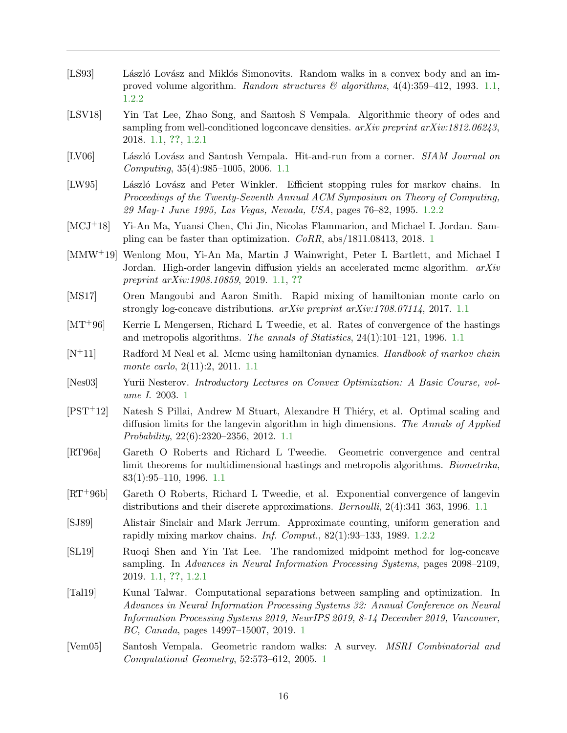- <span id="page-16-4"></span>[LS93] László Lovász and Miklós Simonovits. Random walks in a convex body and an improved volume algorithm. Random structures  $\mathcal{B}$  algorithms, 4(4):359–412, 1993. [1.1,](#page-1-2) [1.2.2](#page-4-3)
- <span id="page-16-11"></span>[LSV18] Yin Tat Lee, Zhao Song, and Santosh S Vempala. Algorithmic theory of odes and sampling from well-conditioned logconcave densities.  $arXiv$  preprint  $arXiv:1812.06243$ , 2018. [1.1,](#page-1-2) [??](#page-3-0), [1.2.1](#page-3-1)
- <span id="page-16-5"></span>[LV06] László Lovász and Santosh Vempala. Hit-and-run from a corner. SIAM Journal on Computing, 35(4):985–1005, 2006. [1.1](#page-1-2)
- <span id="page-16-16"></span>[LW95] László Lovász and Peter Winkler. Efficient stopping rules for markov chains. In Proceedings of the Twenty-Seventh Annual ACM Symposium on Theory of Computing, 29 May-1 June 1995, Las Vegas, Nevada, USA, pages 76–82, 1995. [1.2.2](#page-4-0)
- <span id="page-16-1"></span>[MCJ+18] Yi-An Ma, Yuansi Chen, Chi Jin, Nicolas Flammarion, and Michael I. Jordan. Sampling can be faster than optimization. CoRR, abs/1811.08413, 2018. [1](#page-1-1)
- <span id="page-16-9"></span>[MMW+19] Wenlong Mou, Yi-An Ma, Martin J Wainwright, Peter L Bartlett, and Michael I Jordan. High-order langevin diffusion yields an accelerated mcmc algorithm.  $arXiv$ preprint arXiv:1908.10859, 2019. [1.1,](#page-1-2) [??](#page-3-0)
- <span id="page-16-10"></span>[MS17] Oren Mangoubi and Aaron Smith. Rapid mixing of hamiltonian monte carlo on strongly log-concave distributions. arXiv preprint arXiv:1708.07114, 2017. [1.1](#page-1-2)
- <span id="page-16-6"></span>[MT+96] Kerrie L Mengersen, Richard L Tweedie, et al. Rates of convergence of the hastings and metropolis algorithms. The annals of Statistics,  $24(1):101-121$ , 1996. [1.1](#page-1-2)
- <span id="page-16-8"></span> $[N^+11]$  Radford M Neal et al. Mcmc using hamiltonian dynamics. Handbook of markov chain monte carlo, 2(11):2, 2011. [1.1](#page-1-2)
- <span id="page-16-0"></span>[Nes03] Yurii Nesterov. Introductory Lectures on Convex Optimization: A Basic Course, volume I. 2003. [1](#page-1-1)
- <span id="page-16-14"></span>[PST<sup>+</sup>12] Natesh S Pillai, Andrew M Stuart, Alexandre H Thiéry, et al. Optimal scaling and diffusion limits for the langevin algorithm in high dimensions. The Annals of Applied Probability, 22(6):2320–2356, 2012. [1.1](#page-1-2)
- <span id="page-16-7"></span>[RT96a] Gareth O Roberts and Richard L Tweedie. Geometric convergence and central limit theorems for multidimensional hastings and metropolis algorithms. *Biometrika*, 83(1):95–110, 1996. [1.1](#page-1-2)
- <span id="page-16-13"></span>[RT+96b] Gareth O Roberts, Richard L Tweedie, et al. Exponential convergence of langevin distributions and their discrete approximations. *Bernoulli*, 2(4):341–363, 1996. [1.1](#page-1-2)
- <span id="page-16-15"></span>[SJ89] Alistair Sinclair and Mark Jerrum. Approximate counting, uniform generation and rapidly mixing markov chains. *Inf. Comput.*,  $82(1):93-133$ , 1989. [1.2.2](#page-4-3)
- <span id="page-16-12"></span>[SL19] Ruoqi Shen and Yin Tat Lee. The randomized midpoint method for log-concave sampling. In Advances in Neural Information Processing Systems, pages 2098–2109, 2019. [1.1,](#page-1-2) [??](#page-3-0), [1.2.1](#page-3-1)
- <span id="page-16-2"></span>[Tal19] Kunal Talwar. Computational separations between sampling and optimization. In Advances in Neural Information Processing Systems 32: Annual Conference on Neural Information Processing Systems 2019, NeurIPS 2019, 8-14 December 2019, Vancouver, BC, Canada, pages 14997–15007, 2019. [1](#page-1-1)
- <span id="page-16-3"></span>[Vem05] Santosh Vempala. Geometric random walks: A survey. MSRI Combinatorial and Computational Geometry, 52:573–612, 2005. [1](#page-1-1)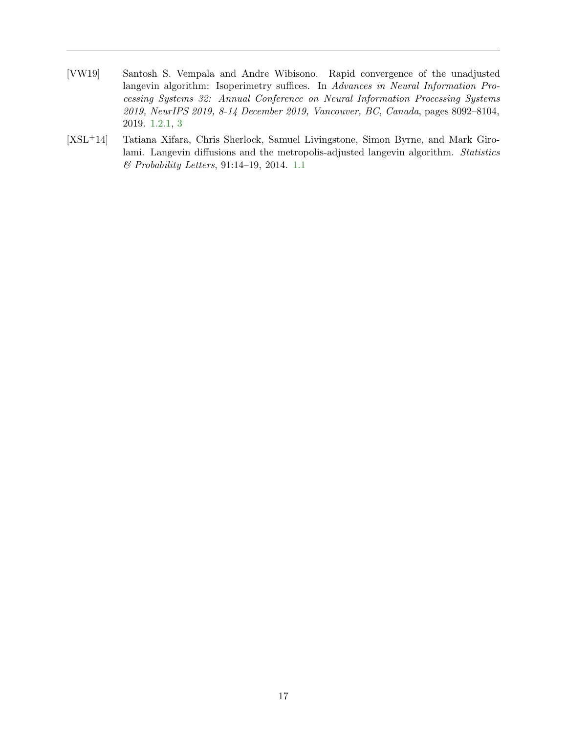- <span id="page-17-1"></span>[VW19] Santosh S. Vempala and Andre Wibisono. Rapid convergence of the unadjusted langevin algorithm: Isoperimetry suffices. In Advances in Neural Information Processing Systems 32: Annual Conference on Neural Information Processing Systems 2019, NeurIPS 2019, 8-14 December 2019, Vancouver, BC, Canada, pages 8092–8104, 2019. [1.2.1,](#page-3-1) [3](#page-9-1)
- <span id="page-17-0"></span>[XSL+14] Tatiana Xifara, Chris Sherlock, Samuel Livingstone, Simon Byrne, and Mark Girolami. Langevin diffusions and the metropolis-adjusted langevin algorithm. Statistics & Probability Letters, 91:14–19, 2014. [1.1](#page-1-2)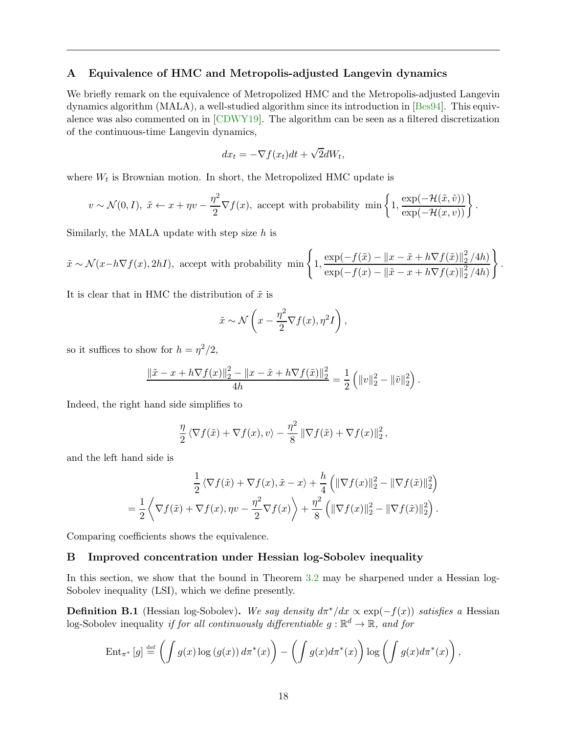# <span id="page-18-0"></span>A Equivalence of HMC and Metropolis-adjusted Langevin dynamics

We briefly remark on the equivalence of Metropolized HMC and the Metropolis-adjusted Langevin dynamics algorithm (MALA), a well-studied algorithm since its introduction in [\[Bes94\]](#page-14-14). This equivalence was also commented on in [\[CDWY19\]](#page-14-0). The algorithm can be seen as a filtered discretization of the continuous-time Langevin dynamics,

$$
dx_t = -\nabla f(x_t)dt + \sqrt{2}dW_t,
$$

where  $W_t$  is Brownian motion. In short, the Metropolized HMC update is

$$
v \sim \mathcal{N}(0, I), \ \tilde{x} \leftarrow x + \eta v - \frac{\eta^2}{2} \nabla f(x), \ \text{accept with probability } \min\left\{1, \frac{\exp(-\mathcal{H}(\tilde{x}, \tilde{v}))}{\exp(-\mathcal{H}(x, v))}\right\}.
$$

Similarly, the MALA update with step size  $h$  is

$$
\tilde{x} \sim \mathcal{N}(x - h\nabla f(x), 2hI), \text{ accept with probability } \min\left\{1, \frac{\exp(-f(\tilde{x}) - \|x - \tilde{x} + h\nabla f(\tilde{x})\|_2^2 / 4h)}{\exp(-f(x) - \|\tilde{x} - x + h\nabla f(x)\|_2^2 / 4h)}\right\}.
$$

It is clear that in HMC the distribution of  $\tilde{x}$  is

$$
\tilde{x} \sim \mathcal{N}\left(x - \frac{\eta^2}{2}\nabla f(x), \eta^2 I\right),\,
$$

so it suffices to show for  $h = \eta^2/2$ ,

$$
\frac{\|\tilde{x} - x + h\nabla f(x)\|_2^2 - \|x - \tilde{x} + h\nabla f(\tilde{x})\|_2^2}{4h} = \frac{1}{2} \left( \|v\|_2^2 - \|\tilde{v}\|_2^2 \right).
$$

Indeed, the right hand side simplifies to

$$
\frac{\eta}{2} \langle \nabla f(\tilde{x}) + \nabla f(x), v \rangle - \frac{\eta^2}{8} || \nabla f(\tilde{x}) + \nabla f(x) ||_2^2,
$$

and the left hand side is

$$
\frac{1}{2} \langle \nabla f(\tilde{x}) + \nabla f(x), \tilde{x} - x \rangle + \frac{h}{4} \left( \|\nabla f(x)\|_2^2 - \|\nabla f(\tilde{x})\|_2^2 \right)
$$

$$
= \frac{1}{2} \left\langle \nabla f(\tilde{x}) + \nabla f(x), \eta v - \frac{\eta^2}{2} \nabla f(x) \right\rangle + \frac{\eta^2}{8} \left( \|\nabla f(x)\|_2^2 - \|\nabla f(\tilde{x})\|_2^2 \right).
$$

<span id="page-18-1"></span>Comparing coefficients shows the equivalence.

# B Improved concentration under Hessian log-Sobolev inequality

In this section, we show that the bound in Theorem [3.2](#page-8-1) may be sharpened under a Hessian log-Sobolev inequality (LSI), which we define presently.

<span id="page-18-2"></span>**Definition B.1** (Hessian log-Sobolev). We say density  $d\pi^*/dx \propto \exp(-f(x))$  satisfies a Hessian log-Sobolev inequality if for all continuously differentiable  $g : \mathbb{R}^d \to \mathbb{R}$ , and for

$$
\operatorname{Ent}_{\pi^*}[g] \stackrel{\text{def}}{=} \left( \int g(x) \log (g(x)) d\pi^*(x) \right) - \left( \int g(x) d\pi^*(x) \right) \log \left( \int g(x) d\pi^*(x) \right),
$$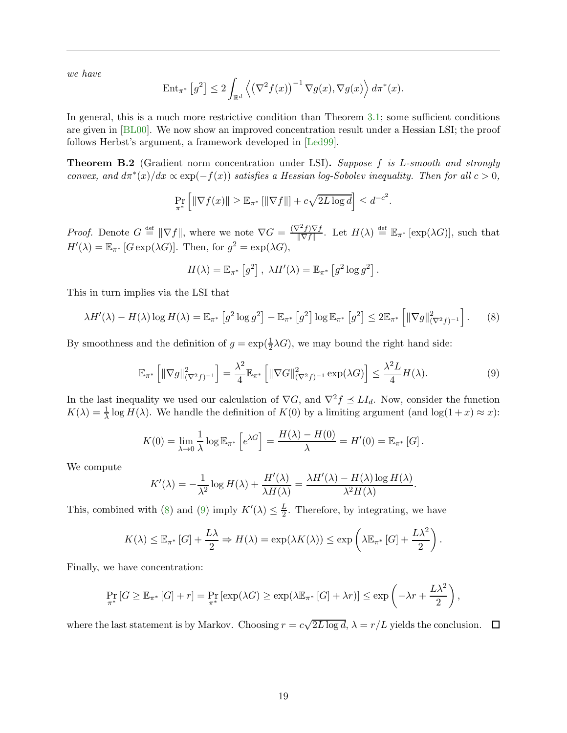we have

$$
\operatorname{Ent}_{\pi^*}\left[g^2\right] \le 2 \int_{\mathbb{R}^d} \left\langle \left(\nabla^2 f(x)\right)^{-1} \nabla g(x), \nabla g(x) \right\rangle d\pi^*(x).
$$

In general, this is a much more restrictive condition than Theorem [3.1;](#page-8-0) some sufficient conditions are given in [\[BL00\]](#page-14-13). We now show an improved concentration result under a Hessian LSI; the proof follows Herbst's argument, a framework developed in [\[Led99\]](#page-15-10).

**Theorem B.2** (Gradient norm concentration under LSI). Suppose f is L-smooth and strongly convex, and  $d\pi^*(x)/dx \propto \exp(-f(x))$  satisfies a Hessian log-Sobolev inequality. Then for all  $c > 0$ ,

$$
\Pr_{\pi^*}\left[\|\nabla f(x)\| \ge \mathbb{E}_{\pi^*}\left[\|\nabla f\|\right] + c\sqrt{2L\log d}\right] \le d^{-c^2}
$$

*Proof.* Denote  $G \stackrel{\text{def}}{=} ||\nabla f||$ , where we note  $\nabla G = \frac{(\nabla^2 f) \nabla f}{||\nabla f||}$  $\frac{\gamma^2 f}{\|\nabla f\|}$ . Let  $H(\lambda) \stackrel{\text{def}}{=} \mathbb{E}_{\pi^*} [\exp(\lambda G)],$  such that  $H'(\lambda) = \mathbb{E}_{\pi^*} [G \exp(\lambda G)].$  Then, for  $g^2 = \exp(\lambda G)$ ,

$$
H(\lambda) = \mathbb{E}_{\pi^*} [g^2], \ \lambda H'(\lambda) = \mathbb{E}_{\pi^*} [g^2 \log g^2].
$$

This in turn implies via the LSI that

<span id="page-19-0"></span>
$$
\lambda H'(\lambda) - H(\lambda) \log H(\lambda) = \mathbb{E}_{\pi^*} \left[ g^2 \log g^2 \right] - \mathbb{E}_{\pi^*} \left[ g^2 \right] \log \mathbb{E}_{\pi^*} \left[ g^2 \right] \leq 2 \mathbb{E}_{\pi^*} \left[ \|\nabla g\|_{(\nabla^2 f)^{-1}}^2 \right]. \tag{8}
$$

By smoothness and the definition of  $g = \exp(\frac{1}{2}\lambda G)$ , we may bound the right hand side:

<span id="page-19-1"></span>
$$
\mathbb{E}_{\pi^*}\left[\|\nabla g\|_{(\nabla^2 f)^{-1}}^2\right] = \frac{\lambda^2}{4} \mathbb{E}_{\pi^*}\left[\|\nabla G\|_{(\nabla^2 f)^{-1}}^2 \exp(\lambda G)\right] \le \frac{\lambda^2 L}{4} H(\lambda). \tag{9}
$$

.

In the last inequality we used our calculation of  $\nabla G$ , and  $\nabla^2 f \preceq L I_d$ . Now, consider the function  $K(\lambda) = \frac{1}{\lambda} \log H(\lambda)$ . We handle the definition of  $K(0)$  by a limiting argument (and  $\log(1+x) \approx x$ ):

$$
K(0) = \lim_{\lambda \to 0} \frac{1}{\lambda} \log \mathbb{E}_{\pi^*} \left[ e^{\lambda G} \right] = \frac{H(\lambda) - H(0)}{\lambda} = H'(0) = \mathbb{E}_{\pi^*} [G].
$$

We compute

$$
K'(\lambda) = -\frac{1}{\lambda^2} \log H(\lambda) + \frac{H'(\lambda)}{\lambda H(\lambda)} = \frac{\lambda H'(\lambda) - H(\lambda) \log H(\lambda)}{\lambda^2 H(\lambda)}.
$$

This, combined with [\(8\)](#page-19-0) and [\(9\)](#page-19-1) imply  $K'(\lambda) \leq \frac{L}{2}$  $\frac{L}{2}$ . Therefore, by integrating, we have

$$
K(\lambda) \leq \mathbb{E}_{\pi^*} [G] + \frac{L\lambda}{2} \Rightarrow H(\lambda) = \exp(\lambda K(\lambda)) \leq \exp\left(\lambda \mathbb{E}_{\pi^*} [G] + \frac{L\lambda^2}{2}\right).
$$

Finally, we have concentration:

$$
\Pr_{\pi^*}[G \geq \mathbb{E}_{\pi^*}[G] + r] = \Pr_{\pi^*}[\exp(\lambda G) \geq \exp(\lambda \mathbb{E}_{\pi^*}[G] + \lambda r)] \leq \exp\left(-\lambda r + \frac{L\lambda^2}{2}\right),
$$

where the last statement is by Markov. Choosing  $r = c\sqrt{2L \log d}$ ,  $\lambda = r/L$  yields the conclusion.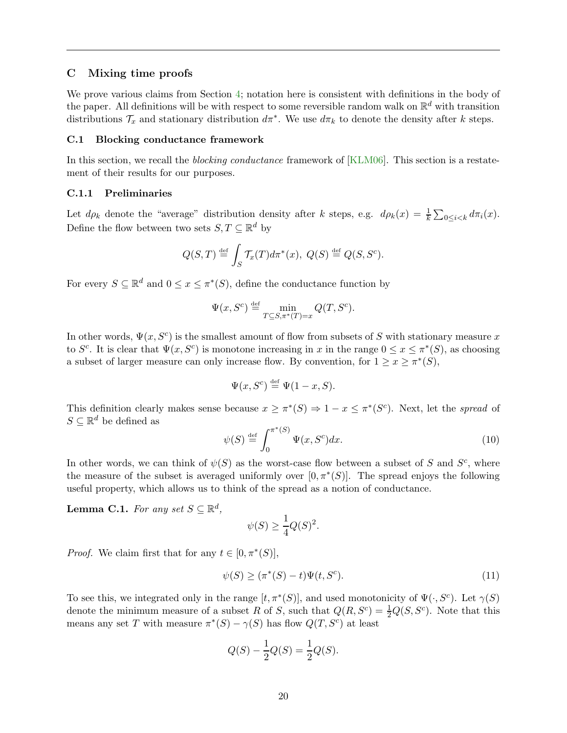#### <span id="page-20-0"></span>C Mixing time proofs

We prove various claims from Section [4;](#page-10-0) notation here is consistent with definitions in the body of the paper. All definitions will be with respect to some reversible random walk on  $\mathbb{R}^d$  with transition distributions  $\mathcal{T}_x$  and stationary distribution  $d\pi^*$ . We use  $d\pi_k$  to denote the density after k steps.

#### <span id="page-20-1"></span>C.1 Blocking conductance framework

In this section, we recall the *blocking conductance* framework of [\[KLM06\]](#page-15-13). This section is a restatement of their results for our purposes.

### C.1.1 Preliminaries

Let  $d\rho_k$  denote the "average" distribution density after k steps, e.g.  $d\rho_k(x) = \frac{1}{k} \sum_{0 \le i < k} d\pi_i(x)$ . Define the flow between two sets  $S, T \subseteq \mathbb{R}^d$  by

$$
Q(S,T) \stackrel{\text{def}}{=} \int_S \mathcal{T}_x(T) d\pi^*(x), \ Q(S) \stackrel{\text{def}}{=} Q(S, S^c).
$$

For every  $S \subseteq \mathbb{R}^d$  and  $0 \le x \le \pi^*(S)$ , define the conductance function by

$$
\Psi(x, S^c) \stackrel{\text{def}}{=} \min_{T \subseteq S, \pi^*(T) = x} Q(T, S^c).
$$

In other words,  $\Psi(x, S^c)$  is the smallest amount of flow from subsets of S with stationary measure x to  $S^c$ . It is clear that  $\Psi(x, S^c)$  is monotone increasing in x in the range  $0 \le x \le \pi^*(S)$ , as choosing a subset of larger measure can only increase flow. By convention, for  $1 \ge x \ge \pi^*(S)$ ,

$$
\Psi(x, S^c) \stackrel{\text{def}}{=} \Psi(1-x, S).
$$

This definition clearly makes sense because  $x \geq \pi^*(S) \Rightarrow 1 - x \leq \pi^*(S^c)$ . Next, let the spread of  $S \subseteq \mathbb{R}^d$  be defined as

<span id="page-20-4"></span>
$$
\psi(S) \stackrel{\text{def}}{=} \int_0^{\pi^*(S)} \Psi(x, S^c) dx. \tag{10}
$$

In other words, we can think of  $\psi(S)$  as the worst-case flow between a subset of S and  $S<sup>c</sup>$ , where the measure of the subset is averaged uniformly over  $[0, \pi^*(S)]$ . The spread enjoys the following useful property, which allows us to think of the spread as a notion of conductance.

<span id="page-20-3"></span>**Lemma C.1.** For any set  $S \subseteq \mathbb{R}^d$ ,

$$
\psi(S) \ge \frac{1}{4}Q(S)^2.
$$

*Proof.* We claim first that for any  $t \in [0, \pi^*(S)],$ 

<span id="page-20-2"></span>
$$
\psi(S) \ge (\pi^*(S) - t)\Psi(t, S^c). \tag{11}
$$

To see this, we integrated only in the range  $[t, \pi^*(S)]$ , and used monotonicity of  $\Psi(\cdot, S^c)$ . Let  $\gamma(S)$ denote the minimum measure of a subset R of S, such that  $Q(R, S^c) = \frac{1}{2}Q(S, S^c)$ . Note that this means any set T with measure  $\pi^*(S) - \gamma(S)$  has flow  $Q(T, S^c)$  at least

$$
Q(S) - \frac{1}{2}Q(S) = \frac{1}{2}Q(S).
$$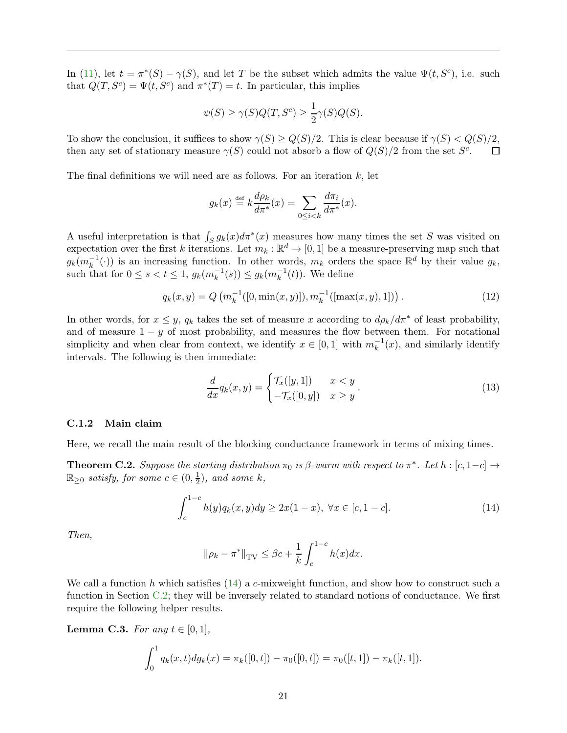In [\(11\)](#page-20-2), let  $t = \pi^*(S) - \gamma(S)$ , and let T be the subset which admits the value  $\Psi(t, S^c)$ , i.e. such that  $Q(T, S^c) = \Psi(t, S^c)$  and  $\pi^*(T) = t$ . In particular, this implies

$$
\psi(S) \ge \gamma(S)Q(T, S^c) \ge \frac{1}{2}\gamma(S)Q(S).
$$

To show the conclusion, it suffices to show  $\gamma(S) \geq Q(S)/2$ . This is clear because if  $\gamma(S) < Q(S)/2$ , then any set of stationary measure  $\gamma(S)$  could not absorb a flow of  $Q(S)/2$  from the set  $S^c$ . then any set of stationary measure  $\gamma(S)$  could not absorb a flow of  $Q(S)/2$  from the set  $S^c$ .

The final definitions we will need are as follows. For an iteration  $k$ , let

$$
g_k(x) \stackrel{\text{def}}{=} k \frac{d\rho_k}{d\pi^*}(x) = \sum_{0 \le i < k} \frac{d\pi_i}{d\pi^*}(x).
$$

A useful interpretation is that  $\int_S g_k(x) d\pi^*(x)$  measures how many times the set S was visited on expectation over the first k iterations. Let  $m_k : \mathbb{R}^d \to [0,1]$  be a measure-preserving map such that  $g_k(m_k^{-1}(\cdot))$  is an increasing function. In other words,  $m_k$  orders the space  $\mathbb{R}^d$  by their value  $g_k$ , such that for  $0 \le s < t \le 1$ ,  $g_k(m_k^{-1}(s)) \le g_k(m_k^{-1}(t))$ . We define

$$
q_k(x, y) = Q\left(m_k^{-1}([0, \min(x, y)]), m_k^{-1}([\max(x, y), 1])\right).
$$
 (12)

In other words, for  $x \leq y$ ,  $q_k$  takes the set of measure x according to  $d\rho_k/d\pi^*$  of least probability, and of measure  $1 - y$  of most probability, and measures the flow between them. For notational simplicity and when clear from context, we identify  $x \in [0,1]$  with  $m_k^{-1}(x)$ , and similarly identify intervals. The following is then immediate:

<span id="page-21-1"></span>
$$
\frac{d}{dx}q_k(x,y) = \begin{cases} \mathcal{T}_x([y,1]) & x < y \\ -\mathcal{T}_x([0,y]) & x \ge y \end{cases} . \tag{13}
$$

#### C.1.2 Main claim

Here, we recall the main result of the blocking conductance framework in terms of mixing times.

<span id="page-21-2"></span>**Theorem C.2.** Suppose the starting distribution  $\pi_0$  is  $\beta$ -warm with respect to  $\pi^*$ . Let  $h : [c, 1-c] \rightarrow$  $\mathbb{R}_{\geq 0}$  satisfy, for some  $c \in (0, \frac{1}{2})$  $(\frac{1}{2})$ , and some k,

<span id="page-21-0"></span>
$$
\int_{c}^{1-c} h(y)q_{k}(x, y)dy \ge 2x(1-x), \ \forall x \in [c, 1-c].
$$
\n(14)

Then,

$$
\|\rho_k - \pi^*\|_{\text{TV}} \le \beta c + \frac{1}{k} \int_c^{1-c} h(x) dx.
$$

We call a function h which satisfies  $(14)$  a c-mixweight function, and show how to construct such a function in Section [C.2;](#page-24-0) they will be inversely related to standard notions of conductance. We first require the following helper results.

<span id="page-21-3"></span>**Lemma C.3.** For any  $t \in [0,1]$ ,

$$
\int_0^1 q_k(x,t) dg_k(x) = \pi_k([0,t]) - \pi_0([0,t]) = \pi_0([t,1]) - \pi_k([t,1]).
$$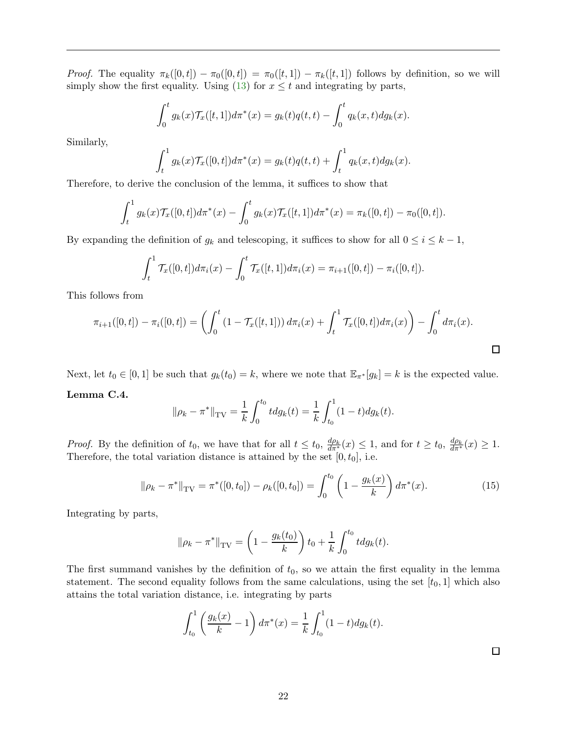*Proof.* The equality  $\pi_k([0,t]) - \pi_0([0,t]) = \pi_0([t,1]) - \pi_k([t,1])$  follows by definition, so we will simply show the first equality. Using [\(13\)](#page-21-1) for  $x \leq t$  and integrating by parts,

$$
\int_0^t g_k(x) \mathcal{T}_x([t,1]) d\pi^*(x) = g_k(t) q(t,t) - \int_0^t q_k(x,t) dg_k(x).
$$

Similarly,

$$
\int_t^1 g_k(x) \mathcal{T}_x([0,t]) d\pi^*(x) = g_k(t) q(t,t) + \int_t^1 q_k(x,t) dg_k(x).
$$

Therefore, to derive the conclusion of the lemma, it suffices to show that

$$
\int_t^1 g_k(x) \mathcal{T}_x([0,t]) d\pi^*(x) - \int_0^t g_k(x) \mathcal{T}_x([t,1]) d\pi^*(x) = \pi_k([0,t]) - \pi_0([0,t]).
$$

By expanding the definition of  $g_k$  and telescoping, it suffices to show for all  $0 \le i \le k - 1$ ,

$$
\int_t^1 \mathcal{T}_x([0,t]) d\pi_i(x) - \int_0^t \mathcal{T}_x([t,1]) d\pi_i(x) = \pi_{i+1}([0,t]) - \pi_i([0,t]).
$$

This follows from

$$
\pi_{i+1}([0,t]) - \pi_i([0,t]) = \left( \int_0^t (1 - \mathcal{T}_x([t,1])) d\pi_i(x) + \int_t^1 \mathcal{T}_x([0,t]) d\pi_i(x) \right) - \int_0^t d\pi_i(x).
$$

Next, let  $t_0 \in [0,1]$  be such that  $g_k(t_0) = k$ , where we note that  $\mathbb{E}_{\pi^*}[g_k] = k$  is the expected value.

#### <span id="page-22-0"></span>Lemma C.4.

$$
\|\rho_k - \pi^*\|_{\text{TV}} = \frac{1}{k} \int_0^{t_0} t \, dg_k(t) = \frac{1}{k} \int_{t_0}^1 (1-t) \, dg_k(t).
$$

*Proof.* By the definition of  $t_0$ , we have that for all  $t \le t_0$ ,  $\frac{d\rho_k}{d\pi^*}(x) \le 1$ , and for  $t \ge t_0$ ,  $\frac{d\rho_k}{d\pi^*}(x) \ge 1$ . Therefore, the total variation distance is attained by the set  $[0, t_0]$ , i.e.

<span id="page-22-1"></span>
$$
\|\rho_k - \pi^*\|_{\text{TV}} = \pi^*([0, t_0]) - \rho_k([0, t_0]) = \int_0^{t_0} \left(1 - \frac{g_k(x)}{k}\right) d\pi^*(x). \tag{15}
$$

Integrating by parts,

$$
\|\rho_k - \pi^*\|_{\text{TV}} = \left(1 - \frac{g_k(t_0)}{k}\right) t_0 + \frac{1}{k} \int_0^{t_0} t \, dg_k(t).
$$

The first summand vanishes by the definition of  $t_0$ , so we attain the first equality in the lemma statement. The second equality follows from the same calculations, using the set  $[t_0, 1]$  which also attains the total variation distance, i.e. integrating by parts

$$
\int_{t_0}^1 \left( \frac{g_k(x)}{k} - 1 \right) d\pi^*(x) = \frac{1}{k} \int_{t_0}^1 (1 - t) dg_k(t).
$$

 $\Box$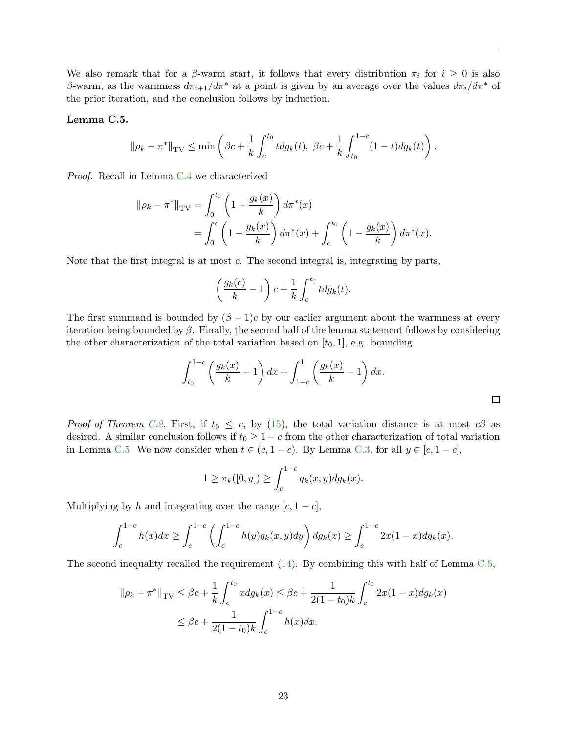We also remark that for a  $\beta$ -warm start, it follows that every distribution  $\pi_i$  for  $i \geq 0$  is also β-warm, as the warmness  $d\pi_{i+1}/d\pi^*$  at a point is given by an average over the values  $d\pi_i/d\pi^*$  of the prior iteration, and the conclusion follows by induction.

#### <span id="page-23-0"></span>Lemma C.5.

$$
\|\rho_k - \pi^*\|_{\text{TV}} \le \min\left(\beta c + \frac{1}{k} \int_c^{t_0} t \, dg_k(t), \ \beta c + \frac{1}{k} \int_{t_0}^{1-c} (1-t) \, dg_k(t)\right).
$$

Proof. Recall in Lemma [C.4](#page-22-0) we characterized

$$
\|\rho_k - \pi^*\|_{\text{TV}} = \int_0^{t_0} \left(1 - \frac{g_k(x)}{k}\right) d\pi^*(x)
$$
  
= 
$$
\int_0^c \left(1 - \frac{g_k(x)}{k}\right) d\pi^*(x) + \int_c^{t_0} \left(1 - \frac{g_k(x)}{k}\right) d\pi^*(x).
$$

Note that the first integral is at most  $c$ . The second integral is, integrating by parts,

$$
\left(\frac{g_k(c)}{k} - 1\right)c + \frac{1}{k} \int_c^{t_0} t dg_k(t).
$$

The first summand is bounded by  $(\beta - 1)c$  by our earlier argument about the warmness at every iteration being bounded by  $\beta$ . Finally, the second half of the lemma statement follows by considering the other characterization of the total variation based on  $[t_0, 1]$ , e.g. bounding

$$
\int_{t_0}^{1-c} \left(\frac{g_k(x)}{k} - 1\right) dx + \int_{1-c}^{1} \left(\frac{g_k(x)}{k} - 1\right) dx.
$$

*Proof of Theorem [C.2.](#page-21-2)* First, if  $t_0 \leq c$ , by [\(15\)](#page-22-1), the total variation distance is at most  $c\beta$  as desired. A similar conclusion follows if  $t_0 \geq 1 - c$  from the other characterization of total variation in Lemma [C.5.](#page-23-0) We now consider when  $t \in (c, 1-c)$ . By Lemma [C.3,](#page-21-3) for all  $y \in [c, 1-c]$ ,

$$
1 \ge \pi_k([0, y]) \ge \int_c^{1-c} q_k(x, y) dg_k(x).
$$

Multiplying by h and integrating over the range  $[c, 1-c]$ ,

$$
\int_{c}^{1-c} h(x)dx \ge \int_{c}^{1-c} \left( \int_{c}^{1-c} h(y)q_{k}(x,y)dy \right) dg_{k}(x) \ge \int_{c}^{1-c} 2x(1-x)dg_{k}(x).
$$

The second inequality recalled the requirement [\(14\)](#page-21-0). By combining this with half of Lemma [C.5,](#page-23-0)

$$
\|\rho_k - \pi^*\|_{TV} \le \beta c + \frac{1}{k} \int_c^{t_0} x dg_k(x) \le \beta c + \frac{1}{2(1-t_0)k} \int_c^{t_0} 2x(1-x) dg_k(x)
$$
  

$$
\le \beta c + \frac{1}{2(1-t_0)k} \int_c^{1-c} h(x) dx.
$$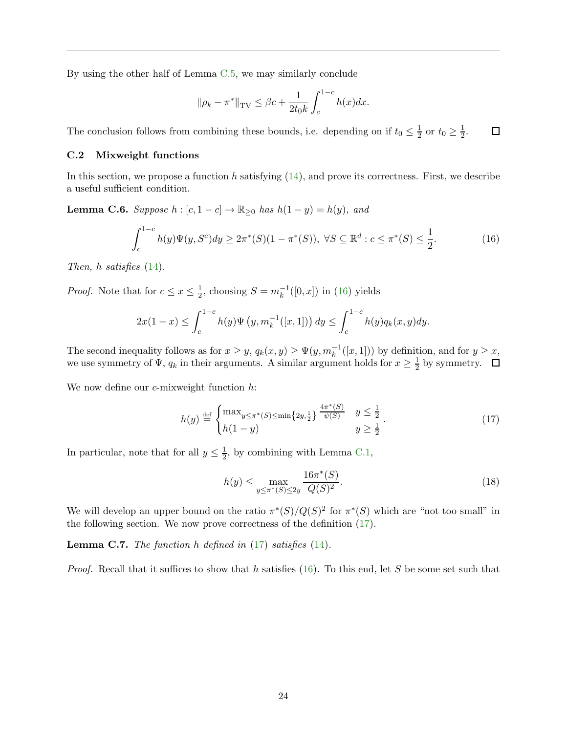By using the other half of Lemma [C.5,](#page-23-0) we may similarly conclude

$$
\|\rho_k - \pi^*\|_{\text{TV}} \le \beta c + \frac{1}{2t_0 k} \int_c^{1-c} h(x) dx.
$$

<span id="page-24-0"></span>The conclusion follows from combining these bounds, i.e. depending on if  $t_0 \leq \frac{1}{2}$  $\frac{1}{2}$  or  $t_0 \geq \frac{1}{2}$  $\Box$  $\frac{1}{2}$ .

#### C.2 Mixweight functions

In this section, we propose a function h satisfying  $(14)$ , and prove its correctness. First, we describe a useful sufficient condition.

**Lemma C.6.** Suppose  $h : [c, 1 - c] \rightarrow \mathbb{R}_{\geq 0}$  has  $h(1 - y) = h(y)$ , and

<span id="page-24-1"></span>
$$
\int_{c}^{1-c} h(y)\Psi(y, S^{c})dy \ge 2\pi^{*}(S)(1-\pi^{*}(S)), \ \forall S \subseteq \mathbb{R}^{d} : c \le \pi^{*}(S) \le \frac{1}{2}.
$$
 (16)

Then, h satisfies [\(14\)](#page-21-0).

*Proof.* Note that for  $c \leq x \leq \frac{1}{2}$  $\frac{1}{2}$ , choosing  $S = m_k^{-1}([0, x])$  in [\(16\)](#page-24-1) yields

$$
2x(1-x) \le \int_{c}^{1-c} h(y)\Psi\left(y, m_{k}^{-1}([x, 1])\right) dy \le \int_{c}^{1-c} h(y)q_{k}(x, y) dy.
$$

The second inequality follows as for  $x \geq y$ ,  $q_k(x, y) \geq \Psi(y, m_k^{-1}([x, 1]))$  by definition, and for  $y \geq x$ , we use symmetry of  $\Psi$ ,  $q_k$  in their arguments. A similar argument holds for  $x \geq \frac{1}{2}$  $\frac{1}{2}$  by symmetry.

We now define our  $c$ -mixweight function  $h$ :

<span id="page-24-2"></span>
$$
h(y) \stackrel{\text{def}}{=} \begin{cases} \max_{y \le \pi^*(S) \le \min\{2y, \frac{1}{2}\} \frac{4\pi^*(S)}{\psi(S)} & y \le \frac{1}{2} \\ h(1-y) & y \ge \frac{1}{2} \end{cases} . \tag{17}
$$

In particular, note that for all  $y \leq \frac{1}{2}$ , by combining with Lemma [C.1,](#page-20-3)

<span id="page-24-3"></span>
$$
h(y) \le \max_{y \le \pi^*(S) \le 2y} \frac{16\pi^*(S)}{Q(S)^2}.
$$
\n(18)

We will develop an upper bound on the ratio  $\pi^*(S)/Q(S)^2$  for  $\pi^*(S)$  which are "not too small" in the following section. We now prove correctness of the definition [\(17\)](#page-24-2).

**Lemma C.7.** The function h defined in  $(17)$  satisfies  $(14)$ .

*Proof.* Recall that it suffices to show that h satisfies [\(16\)](#page-24-1). To this end, let S be some set such that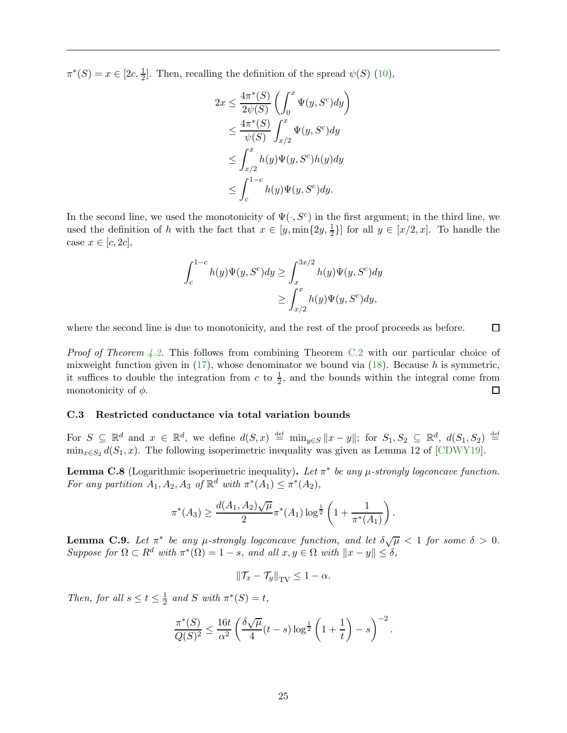$\pi^*(S) = x \in [2c, \frac{1}{2}].$  Then, recalling the definition of the spread  $\psi(S)$  [\(10\)](#page-20-4),

$$
2x \le \frac{4\pi^*(S)}{2\psi(S)} \left( \int_0^x \Psi(y, S^c) dy \right)
$$
  
\n
$$
\le \frac{4\pi^*(S)}{\psi(S)} \int_{x/2}^x \Psi(y, S^c) dy
$$
  
\n
$$
\le \int_{x/2}^x h(y) \Psi(y, S^c) h(y) dy
$$
  
\n
$$
\le \int_c^{1-c} h(y) \Psi(y, S^c) dy.
$$

In the second line, we used the monotonicity of  $\Psi(\cdot, S^c)$  in the first argument; in the third line, we used the definition of h with the fact that  $x \in [y, \min\{2y, \frac{1}{2}\}]$  for all  $y \in [x/2, x]$ . To handle the case  $x \in [c, 2c]$ ,

$$
\int_{c}^{1-c} h(y)\Psi(y, S^{c})dy \ge \int_{x}^{3x/2} h(y)\Psi(y, S^{c})dy
$$

$$
\ge \int_{x/2}^{x} h(y)\Psi(y, S^{c})dy,
$$

where the second line is due to monotonicity, and the rest of the proof proceeds as before.  $\Box$ 

Proof of Theorem [4.2.](#page-10-3) This follows from combining Theorem [C.2](#page-21-2) with our particular choice of mixweight function given in  $(17)$ , whose denominator we bound via  $(18)$ . Because h is symmetric, it suffices to double the integration from c to  $\frac{1}{2}$ , and the bounds within the integral come from monotonicity of  $\phi$ .  $\Box$ 

#### <span id="page-25-1"></span>C.3 Restricted conductance via total variation bounds

For  $S \subseteq \mathbb{R}^d$  and  $x \in \mathbb{R}^d$ , we define  $d(S, x) \stackrel{\text{def}}{=} \min_{y \in S} ||x - y||$ ; for  $S_1, S_2 \subseteq \mathbb{R}^d$ ,  $d(S_1, S_2) \stackrel{\text{def}}{=}$  $\min_{x \in S_2} d(S_1, x)$ . The following isoperimetric inequality was given as Lemma 12 of [\[CDWY19\]](#page-14-0).

<span id="page-25-2"></span>**Lemma C.8** (Logarithmic isoperimetric inequality). Let  $\pi^*$  be any  $\mu$ -strongly logconcave function. For any partition  $A_1, A_2, A_3$  of  $\mathbb{R}^d$  with  $\pi^*(A_1) \leq \pi^*(A_2)$ ,

$$
\pi^*(A_3) \ge \frac{d(A_1, A_2)\sqrt{\mu}}{2} \pi^*(A_1) \log^{\frac{1}{2}} \left(1 + \frac{1}{\pi^*(A_1)}\right).
$$

<span id="page-25-0"></span>**Lemma C.9.** Let  $\pi^*$  be any  $\mu$ -strongly logconcave function, and let  $\delta \sqrt{\mu} < 1$  for some  $\delta > 0$ . Suppose for  $\Omega \subset R^d$  with  $\pi^*(\Omega) = 1 - s$ , and all  $x, y \in \Omega$  with  $||x - y|| \le \delta$ ,

$$
\|\mathcal{T}_x - \mathcal{T}_y\|_{\text{TV}} \le 1 - \alpha.
$$

Then, for all  $s \le t \le \frac{1}{2}$  $\frac{1}{2}$  and S with  $\pi^*(S) = t$ ,

$$
\frac{\pi^*(S)}{Q(S)^2} \le \frac{16t}{\alpha^2} \left( \frac{\delta \sqrt{\mu}}{4} (t-s) \log^{\frac{1}{2}} \left( 1 + \frac{1}{t} \right) - s \right)^{-2}.
$$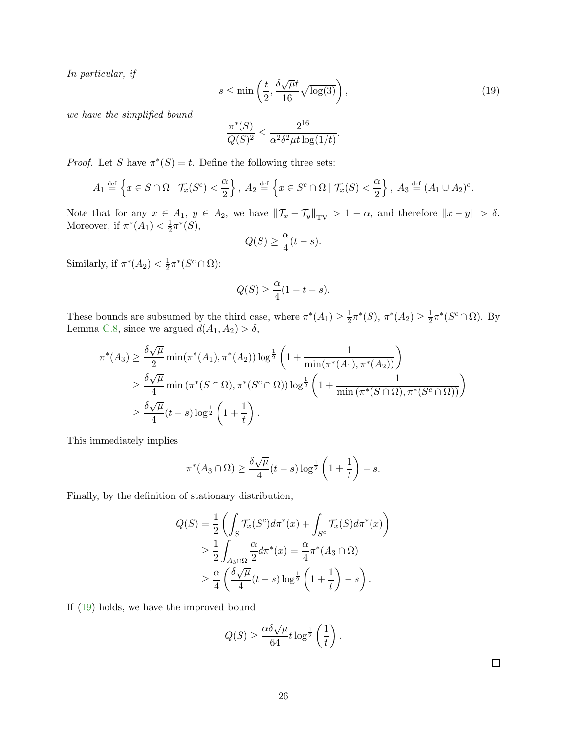In particular, if

<span id="page-26-0"></span>
$$
s \le \min\left(\frac{t}{2}, \frac{\delta\sqrt{\mu}t}{16}\sqrt{\log(3)}\right),\tag{19}
$$

we have the simplified bound

$$
\frac{\pi^*(S)}{Q(S)^2} \le \frac{2^{16}}{\alpha^2 \delta^2 \mu t \log(1/t)}.
$$

*Proof.* Let S have  $\pi^*(S) = t$ . Define the following three sets:

$$
A_1 \stackrel{\text{def}}{=} \left\{ x \in S \cap \Omega \mid \mathcal{T}_x(S^c) < \frac{\alpha}{2} \right\}, \ A_2 \stackrel{\text{def}}{=} \left\{ x \in S^c \cap \Omega \mid \mathcal{T}_x(S) < \frac{\alpha}{2} \right\}, \ A_3 \stackrel{\text{def}}{=} (A_1 \cup A_2)^c.
$$

Note that for any  $x \in A_1$ ,  $y \in A_2$ , we have  $\|\mathcal{T}_x - \mathcal{T}_y\|_{TV} > 1 - \alpha$ , and therefore  $\|x - y\| > \delta$ . Moreover, if  $\pi^*(A_1) < \frac{1}{2}$  $\frac{1}{2}\pi^{*}(S),$ 

$$
Q(S) \ge \frac{\alpha}{4}(t-s).
$$

Similarly, if  $\pi^*(A_2) < \frac{1}{2}$  $\frac{1}{2}\pi^*(S^c \cap \Omega)$ :

$$
Q(S) \ge \frac{\alpha}{4}(1 - t - s).
$$

These bounds are subsumed by the third case, where  $\pi^*(A_1) \geq \frac{1}{2}$  $\frac{1}{2}\pi^*(S), \pi^*(A_2) \geq \frac{1}{2}$  $\frac{1}{2}\pi^*(S^c \cap \Omega)$ . By Lemma [C.8,](#page-25-2) since we argued  $d(A_1, A_2) > \delta$ ,

$$
\pi^*(A_3) \ge \frac{\delta \sqrt{\mu}}{2} \min(\pi^*(A_1), \pi^*(A_2)) \log^{\frac{1}{2}} \left( 1 + \frac{1}{\min(\pi^*(A_1), \pi^*(A_2))} \right)
$$
  

$$
\ge \frac{\delta \sqrt{\mu}}{4} \min(\pi^*(S \cap \Omega), \pi^*(S^c \cap \Omega)) \log^{\frac{1}{2}} \left( 1 + \frac{1}{\min(\pi^*(S \cap \Omega), \pi^*(S^c \cap \Omega))} \right)
$$
  

$$
\ge \frac{\delta \sqrt{\mu}}{4} (t - s) \log^{\frac{1}{2}} \left( 1 + \frac{1}{t} \right).
$$

This immediately implies

$$
\pi^*(A_3 \cap \Omega) \ge \frac{\delta \sqrt{\mu}}{4} (t-s) \log^{\frac{1}{2}} \left(1 + \frac{1}{t}\right) - s.
$$

Finally, by the definition of stationary distribution,

$$
Q(S) = \frac{1}{2} \left( \int_S \mathcal{T}_x(S^c) d\pi^*(x) + \int_{S^c} \mathcal{T}_x(S) d\pi^*(x) \right)
$$
  
\n
$$
\geq \frac{1}{2} \int_{A_3 \cap \Omega} \frac{\alpha}{2} d\pi^*(x) = \frac{\alpha}{4} \pi^*(A_3 \cap \Omega)
$$
  
\n
$$
\geq \frac{\alpha}{4} \left( \frac{\delta \sqrt{\mu}}{4} (t-s) \log^{\frac{1}{2}} \left( 1 + \frac{1}{t} \right) - s \right).
$$

If [\(19\)](#page-26-0) holds, we have the improved bound

$$
Q(S) \ge \frac{\alpha \delta \sqrt{\mu}}{64} t \log^{\frac{1}{2}} \left(\frac{1}{t}\right).
$$

 $\Box$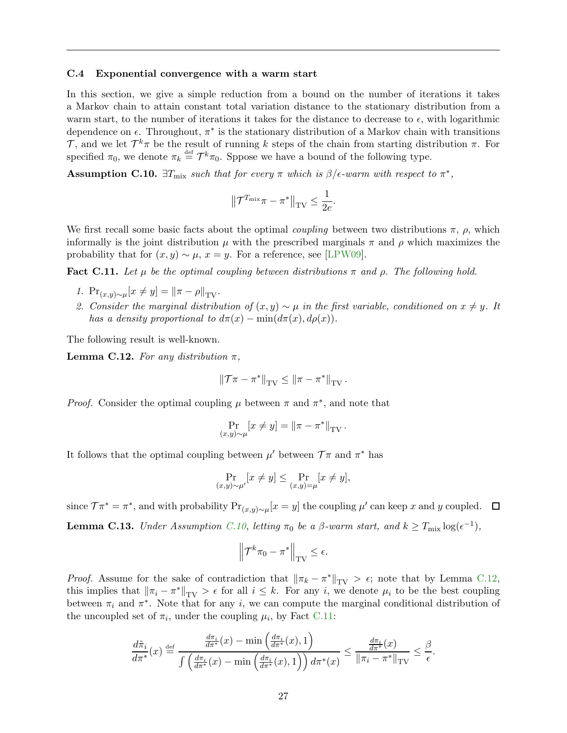#### <span id="page-27-0"></span>C.4 Exponential convergence with a warm start

In this section, we give a simple reduction from a bound on the number of iterations it takes a Markov chain to attain constant total variation distance to the stationary distribution from a warm start, to the number of iterations it takes for the distance to decrease to  $\epsilon$ , with logarithmic dependence on  $\epsilon$ . Throughout,  $\pi^*$  is the stationary distribution of a Markov chain with transitions T, and we let  $\mathcal{T}^k \pi$  be the result of running k steps of the chain from starting distribution  $\pi$ . For specified  $\pi_0$ , we denote  $\pi_k \stackrel{\text{def}}{=} \mathcal{T}^k \pi_0$ . Sppose we have a bound of the following type.

<span id="page-27-1"></span>**Assumption C.10.**  $\exists T_{\text{mix}}$  such that for every  $\pi$  which is  $\beta$ / $\epsilon$ -warm with respect to  $\pi^*$ ,

$$
\left\|\mathcal{T}^{T_{\max}}\pi - \pi^*\right\|_{\text{TV}} \le \frac{1}{2e}.
$$

We first recall some basic facts about the optimal *coupling* between two distributions  $\pi$ ,  $\rho$ , which informally is the joint distribution  $\mu$  with the prescribed marginals  $\pi$  and  $\rho$  which maximizes the probability that for  $(x, y) \sim \mu$ ,  $x = y$ . For a reference, see [\[LPW09\]](#page-15-16).

<span id="page-27-3"></span>Fact C.11. Let  $\mu$  be the optimal coupling between distributions  $\pi$  and  $\rho$ . The following hold.

- 1.  $Pr_{(x,y)\sim \mu}[x \neq y] = ||\pi \rho||_{TV}.$
- 2. Consider the marginal distribution of  $(x, y) \sim \mu$  in the first variable, conditioned on  $x \neq y$ . It has a density proportional to  $d\pi(x) - \min(d\pi(x), d\rho(x)).$

The following result is well-known.

<span id="page-27-2"></span>**Lemma C.12.** For any distribution  $\pi$ ,

$$
\left\|\mathcal{T}\pi-\pi^*\right\|_{\mathrm{TV}} \leq \left\|\pi-\pi^*\right\|_{\mathrm{TV}}.
$$

*Proof.* Consider the optimal coupling  $\mu$  between  $\pi$  and  $\pi^*$ , and note that

$$
\Pr_{(x,y)\sim\mu}[x\neq y] = \left\|\pi - \pi^*\right\|_{\text{TV}}.
$$

It follows that the optimal coupling between  $\mu'$  between  $\mathcal{T}\pi$  and  $\pi^*$  has

$$
\Pr_{(x,y)\sim\mu'}[x\neq y] \le \Pr_{(x,y)=\mu}[x\neq y],
$$

since  $\mathcal{T}\pi^* = \pi^*$ , and with probability  $Pr_{(x,y)\sim \mu}[x=y]$  the coupling  $\mu'$  can keep x and y coupled.  $\Box$ **Lemma C.13.** Under Assumption [C.10,](#page-27-1) letting  $\pi_0$  be a  $\beta$ -warm start, and  $k \geq T_{\text{mix}} \log(\epsilon^{-1}),$ 

$$
\left\| \mathcal{T}^k \pi_0 - \pi^* \right\|_{\mathrm{TV}} \le \epsilon.
$$

*Proof.* Assume for the sake of contradiction that  $\|\pi_k - \pi^*\|_{TV} > \epsilon$ ; note that by Lemma [C.12,](#page-27-2) this implies that  $\|\pi_i - \pi^*\|_{TV} > \epsilon$  for all  $i \leq k$ . For any i, we denote  $\mu_i$  to be the best coupling between  $\pi_i$  and  $\pi^*$ . Note that for any i, we can compute the marginal conditional distribution of the uncoupled set of  $\pi_i$ , under the coupling  $\mu_i$ , by Fact [C.11:](#page-27-3)

$$
\frac{d\tilde{\pi}_i}{d\pi^*}(x) \stackrel{\text{def}}{=} \frac{\frac{d\pi_i}{d\pi^*}(x) - \min\left(\frac{d\pi_i}{d\pi^*}(x), 1\right)}{\int \left(\frac{d\pi_i}{d\pi^*}(x) - \min\left(\frac{d\pi_i}{d\pi^*}(x), 1\right)\right) d\pi^*(x)} \le \frac{\frac{d\pi_i}{d\pi^*}(x)}{\|\pi_i - \pi^*\|_{\text{TV}}} \le \frac{\beta}{\epsilon}.
$$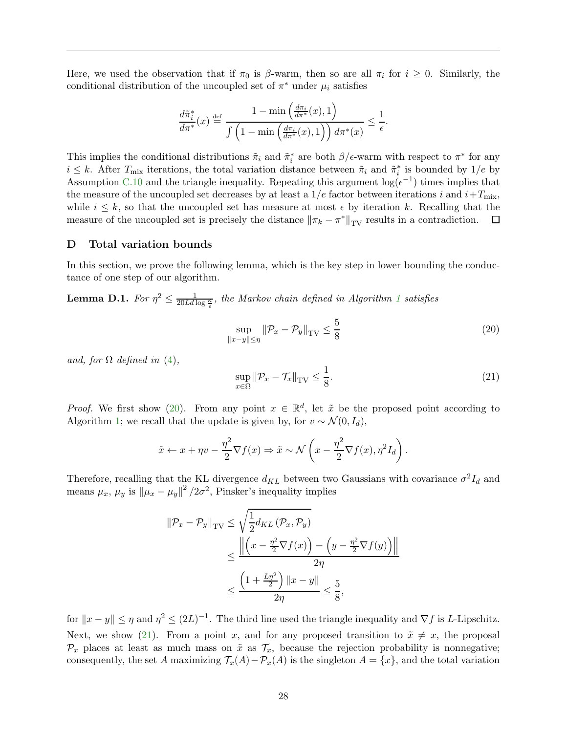Here, we used the observation that if  $\pi_0$  is  $\beta$ -warm, then so are all  $\pi_i$  for  $i \geq 0$ . Similarly, the conditional distribution of the uncoupled set of  $\pi^*$  under  $\mu_i$  satisfies

$$
\frac{d\tilde{\pi}_i^*}{d\pi^*}(x) \stackrel{\text{def}}{=} \frac{1 - \min\left(\frac{d\pi_i}{d\pi^*}(x), 1\right)}{\int \left(1 - \min\left(\frac{d\pi_i}{d\pi^*}(x), 1\right)\right) d\pi^*(x)} \le \frac{1}{\epsilon}.
$$

This implies the conditional distributions  $\tilde{\pi}_i$  and  $\tilde{\pi}_i^*$  are both  $\beta/\epsilon$ -warm with respect to  $\pi^*$  for any  $i \leq k$ . After  $T_{\text{mix}}$  iterations, the total variation distance between  $\tilde{\pi}_i$  and  $\tilde{\pi}_i^*$  is bounded by  $1/e$  by Assumption [C.10](#page-27-1) and the triangle inequality. Repeating this argument  $\log(\epsilon^{-1})$  times implies that the measure of the uncoupled set decreases by at least a  $1/e$  factor between iterations i and  $i+T_{\text{mix}}$ , while  $i \leq k$ , so that the uncoupled set has measure at most  $\epsilon$  by iteration k. Recalling that the measure of the uncoupled set is precisely the distance  $\|\pi_k - \pi^*\|_{TV}$  results in a contradiction.  $\Box$ measure of the uncoupled set is precisely the distance  $\|\pi_k - \pi^*\|_{TV}$  results in a contradiction.

# <span id="page-28-0"></span>D Total variation bounds

In this section, we prove the following lemma, which is the key step in lower bounding the conductance of one step of our algorithm.

**Lemma D.[1](#page-7-0).** For  $\eta^2 \leq \frac{1}{20Ld \log \frac{\kappa}{\epsilon}}$ , the Markov chain defined in Algorithm 1 satisfies

<span id="page-28-2"></span>
$$
\sup_{\|x-y\| \le \eta} \|\mathcal{P}_x - \mathcal{P}_y\|_{\text{TV}} \le \frac{5}{8} \tag{20}
$$

and, for  $\Omega$  defined in [\(4\)](#page-11-0),

<span id="page-28-1"></span>
$$
\sup_{x \in \Omega} \|\mathcal{P}_x - \mathcal{T}_x\|_{\text{TV}} \le \frac{1}{8}.\tag{21}
$$

*Proof.* We first show [\(20\)](#page-28-2). From any point  $x \in \mathbb{R}^d$ , let  $\tilde{x}$  be the proposed point according to Algorithm [1;](#page-7-0) we recall that the update is given by, for  $v \sim \mathcal{N}(0, I_d)$ ,

$$
\tilde{x} \leftarrow x + \eta v - \frac{\eta^2}{2} \nabla f(x) \Rightarrow \tilde{x} \sim \mathcal{N}\left(x - \frac{\eta^2}{2} \nabla f(x), \eta^2 I_d\right).
$$

Therefore, recalling that the KL divergence  $d_{KL}$  between two Gaussians with covariance  $\sigma^2 I_d$  and means  $\mu_x$ ,  $\mu_y$  is  $\|\mu_x - \mu_y\|^2 / 2\sigma^2$ , Pinsker's inequality implies

$$
\|\mathcal{P}_x - \mathcal{P}_y\|_{\text{TV}} \le \sqrt{\frac{1}{2} d_{KL} \left(\mathcal{P}_x, \mathcal{P}_y\right)}
$$
  

$$
\le \frac{\left\|\left(x - \frac{\eta^2}{2} \nabla f(x)\right) - \left(y - \frac{\eta^2}{2} \nabla f(y)\right)\right\|}{2\eta}
$$
  

$$
\le \frac{\left(1 + \frac{L\eta^2}{2}\right) \|x - y\|}{2\eta} \le \frac{5}{8},
$$

for  $||x - y|| \le \eta$  and  $\eta^2 \le (2L)^{-1}$ . The third line used the triangle inequality and  $\nabla f$  is L-Lipschitz. Next, we show [\(21\)](#page-28-1). From a point x, and for any proposed transition to  $\tilde{x} \neq x$ , the proposal  $\mathcal{P}_x$  places at least as much mass on  $\tilde{x}$  as  $\mathcal{T}_x$ , because the rejection probability is nonnegative; consequently, the set A maximizing  $\mathcal{T}_x(A) - \mathcal{P}_x(A)$  is the singleton  $A = \{x\}$ , and the total variation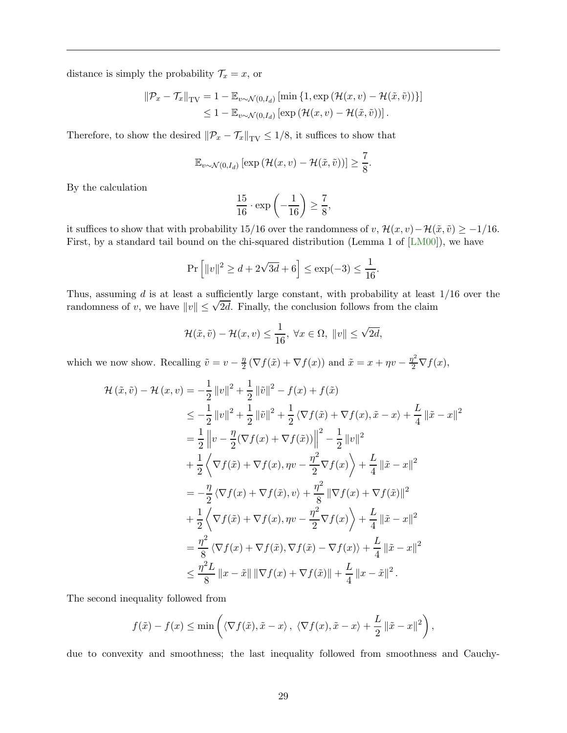distance is simply the probability  $\mathcal{T}_x = x$ , or

$$
\|\mathcal{P}_x - \mathcal{T}_x\|_{\text{TV}} = 1 - \mathbb{E}_{v \sim \mathcal{N}(0, I_d)} \left[ \min \left\{ 1, \exp \left( \mathcal{H}(x, v) - \mathcal{H}(\tilde{x}, \tilde{v}) \right) \right\} \right] \leq 1 - \mathbb{E}_{v \sim \mathcal{N}(0, I_d)} \left[ \exp \left( \mathcal{H}(x, v) - \mathcal{H}(\tilde{x}, \tilde{v}) \right) \right].
$$

Therefore, to show the desired  $\|\mathcal{P}_x - \mathcal{T}_x\|_{TV} \leq 1/8$ , it suffices to show that

$$
\mathbb{E}_{v \sim \mathcal{N}(0, I_d)} \left[ \exp \left( \mathcal{H}(x, v) - \mathcal{H}(\tilde{x}, \tilde{v}) \right) \right] \ge \frac{7}{8}.
$$

By the calculation

$$
\frac{15}{16} \cdot \exp\left(-\frac{1}{16}\right) \ge \frac{7}{8},
$$

it suffices to show that with probability 15/16 over the randomness of v,  $\mathcal{H}(x, v) - \mathcal{H}(\tilde{x}, \tilde{v}) \ge -1/16$ . First, by a standard tail bound on the chi-squared distribution (Lemma 1 of [\[LM00\]](#page-15-15)), we have

$$
\Pr\left[\|v\|^2 \ge d + 2\sqrt{3d} + 6\right] \le \exp(-3) \le \frac{1}{16}.
$$

Thus, assuming d is at least a sufficiently large constant, with probability at least  $1/16$  over the randomness of v, we have  $||v|| \leq \sqrt{2d}$ . Finally, the conclusion follows from the claim

$$
\mathcal{H}(\tilde{x}, \tilde{v}) - \mathcal{H}(x, v) \le \frac{1}{16}, \ \forall x \in \Omega, \ \|v\| \le \sqrt{2d},
$$

which we now show. Recalling  $\tilde{v} = v - \frac{\eta}{2}$  $\frac{\eta}{2}(\nabla f(\tilde{x}) + \nabla f(x))$  and  $\tilde{x} = x + \eta v - \frac{\eta^2}{2} \nabla f(x)$ ,

$$
\mathcal{H}(\tilde{x}, \tilde{v}) - \mathcal{H}(x, v) = -\frac{1}{2} ||v||^2 + \frac{1}{2} ||\tilde{v}||^2 - f(x) + f(\tilde{x})
$$
  
\n
$$
\leq -\frac{1}{2} ||v||^2 + \frac{1}{2} ||\tilde{v}||^2 + \frac{1}{2} \langle \nabla f(\tilde{x}) + \nabla f(x), \tilde{x} - x \rangle + \frac{L}{4} ||\tilde{x} - x||^2
$$
  
\n
$$
= \frac{1}{2} ||v - \frac{\eta}{2} (\nabla f(x) + \nabla f(\tilde{x}))||^2 - \frac{1}{2} ||v||^2
$$
  
\n
$$
+ \frac{1}{2} \langle \nabla f(\tilde{x}) + \nabla f(x), \eta v - \frac{\eta^2}{2} \nabla f(x) \rangle + \frac{L}{4} ||\tilde{x} - x||^2
$$
  
\n
$$
= -\frac{\eta}{2} \langle \nabla f(x) + \nabla f(\tilde{x}), v \rangle + \frac{\eta^2}{8} ||\nabla f(x) + \nabla f(\tilde{x})||^2
$$
  
\n
$$
+ \frac{1}{2} \langle \nabla f(\tilde{x}) + \nabla f(x), \eta v - \frac{\eta^2}{2} \nabla f(x) \rangle + \frac{L}{4} ||\tilde{x} - x||^2
$$
  
\n
$$
= \frac{\eta^2}{8} \langle \nabla f(x) + \nabla f(\tilde{x}), \nabla f(\tilde{x}) - \nabla f(x) \rangle + \frac{L}{4} ||\tilde{x} - x||^2
$$
  
\n
$$
\leq \frac{\eta^2 L}{8} ||x - \tilde{x}|| ||\nabla f(x) + \nabla f(\tilde{x})|| + \frac{L}{4} ||x - \tilde{x}||^2.
$$

The second inequality followed from

$$
f(\tilde{x}) - f(x) \le \min \left( \langle \nabla f(\tilde{x}), \tilde{x} - x \rangle, \ \langle \nabla f(x), \tilde{x} - x \rangle + \frac{L}{2} ||\tilde{x} - x||^2 \right),
$$

due to convexity and smoothness; the last inequality followed from smoothness and Cauchy-